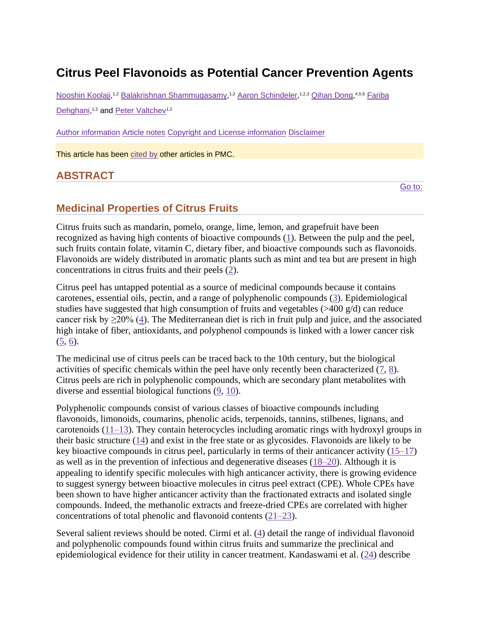# **Citrus Peel Flavonoids as Potential Cancer Prevention Agents**

[Nooshin Koolaji,](https://www.ncbi.nlm.nih.gov/pubmed/?term=Koolaji%20N%5BAuthor%5D&cauthor=true&cauthor_uid=32391511)<sup>1,2</sup> [Balakrishnan Shammugasamy,](https://www.ncbi.nlm.nih.gov/pubmed/?term=Shammugasamy%20B%5BAuthor%5D&cauthor=true&cauthor_uid=32391511)<sup>1,2</sup> [Aaron Schindeler,](https://www.ncbi.nlm.nih.gov/pubmed/?term=Schindeler%20A%5BAuthor%5D&cauthor=true&cauthor_uid=32391511)<sup>1,2,3</sup> [Qihan Dong,](https://www.ncbi.nlm.nih.gov/pubmed/?term=Dong%20Q%5BAuthor%5D&cauthor=true&cauthor_uid=32391511)<sup>4,5,6</sup> Fariba [Dehghani,](https://www.ncbi.nlm.nih.gov/pubmed/?term=Dehghani%20F%5BAuthor%5D&cauthor=true&cauthor_uid=32391511)<sup>1,2</sup> and [Peter Valtchev](https://www.ncbi.nlm.nih.gov/pubmed/?term=Valtchev%20P%5BAuthor%5D&cauthor=true&cauthor_uid=32391511)<sup>1,2</sup>

[Author information](https://www.ncbi.nlm.nih.gov/pmc/articles/PMC7199889/) [Article notes](https://www.ncbi.nlm.nih.gov/pmc/articles/PMC7199889/) [Copyright and License information](https://www.ncbi.nlm.nih.gov/pmc/articles/PMC7199889/) [Disclaimer](https://www.ncbi.nlm.nih.gov/pmc/about/disclaimer/)

This article has been [cited by](https://www.ncbi.nlm.nih.gov/pmc/articles/PMC7199889/citedby/) other articles in PMC.

# **ABSTRACT**

[Go to:](https://www.ncbi.nlm.nih.gov/pmc/articles/PMC7199889/)

# **Medicinal Properties of Citrus Fruits**

Citrus fruits such as mandarin, pomelo, orange, lime, lemon, and grapefruit have been recognized as having high contents of bioactive compounds [\(1\)](https://www.ncbi.nlm.nih.gov/pmc/articles/PMC7199889/#bib1). Between the pulp and the peel, such fruits contain folate, vitamin C, dietary fiber, and bioactive compounds such as flavonoids. Flavonoids are widely distributed in aromatic plants such as mint and tea but are present in high concentrations in citrus fruits and their peels [\(2\)](https://www.ncbi.nlm.nih.gov/pmc/articles/PMC7199889/#bib2).

Citrus peel has untapped potential as a source of medicinal compounds because it contains carotenes, essential oils, pectin, and a range of polyphenolic compounds [\(3\)](https://www.ncbi.nlm.nih.gov/pmc/articles/PMC7199889/#bib3). Epidemiological studies have suggested that high consumption of fruits and vegetables ( $>400 \frac{\text{g}}{\text{d}}$ ) can reduce cancer risk by ≥20% [\(4\)](https://www.ncbi.nlm.nih.gov/pmc/articles/PMC7199889/#bib4). The Mediterranean diet is rich in fruit pulp and juice, and the associated high intake of fiber, antioxidants, and polyphenol compounds is linked with a lower cancer risk [\(5,](https://www.ncbi.nlm.nih.gov/pmc/articles/PMC7199889/#bib5) [6\)](https://www.ncbi.nlm.nih.gov/pmc/articles/PMC7199889/#bib6).

The medicinal use of citrus peels can be traced back to the 10th century, but the biological activities of specific chemicals within the peel have only recently been characterized [\(7,](https://www.ncbi.nlm.nih.gov/pmc/articles/PMC7199889/#bib7) [8\)](https://www.ncbi.nlm.nih.gov/pmc/articles/PMC7199889/#bib8). Citrus peels are rich in polyphenolic compounds, which are secondary plant metabolites with diverse and essential biological functions  $(9, 10)$  $(9, 10)$  $(9, 10)$ .

Polyphenolic compounds consist of various classes of bioactive compounds including flavonoids, limonoids, coumarins, phenolic acids, terpenoids, tannins, stilbenes, lignans, and carotenoids [\(11–13\)](https://www.ncbi.nlm.nih.gov/pmc/articles/PMC7199889/#bib11). They contain heterocycles including aromatic rings with hydroxyl groups in their basic structure [\(14\)](https://www.ncbi.nlm.nih.gov/pmc/articles/PMC7199889/#bib14) and exist in the free state or as glycosides. Flavonoids are likely to be key bioactive compounds in citrus peel, particularly in terms of their anticancer activity [\(15–17\)](https://www.ncbi.nlm.nih.gov/pmc/articles/PMC7199889/#bib15) as well as in the prevention of infectious and degenerative diseases [\(18–20\)](https://www.ncbi.nlm.nih.gov/pmc/articles/PMC7199889/#bib18). Although it is appealing to identify specific molecules with high anticancer activity, there is growing evidence to suggest synergy between bioactive molecules in citrus peel extract (CPE). Whole CPEs have been shown to have higher anticancer activity than the fractionated extracts and isolated single compounds. Indeed, the methanolic extracts and freeze-dried CPEs are correlated with higher concentrations of total phenolic and flavonoid contents [\(21–23\)](https://www.ncbi.nlm.nih.gov/pmc/articles/PMC7199889/#bib21).

Several salient reviews should be noted. Cirmi et al. [\(4\)](https://www.ncbi.nlm.nih.gov/pmc/articles/PMC7199889/#bib4) detail the range of individual flavonoid and polyphenolic compounds found within citrus fruits and summarize the preclinical and epidemiological evidence for their utility in cancer treatment. Kandaswami et al. [\(24\)](https://www.ncbi.nlm.nih.gov/pmc/articles/PMC7199889/#bib24) describe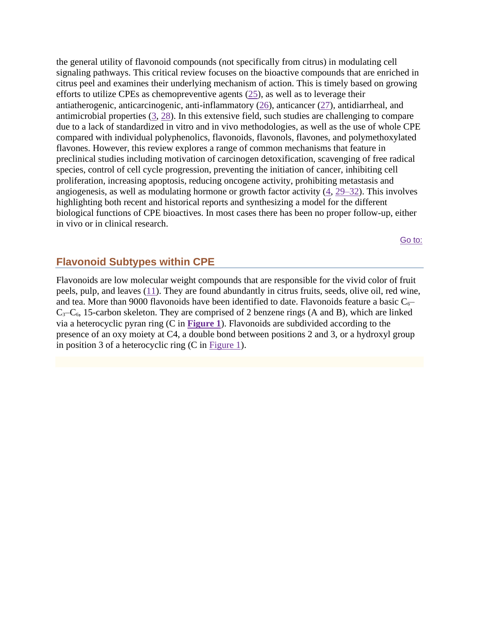the general utility of flavonoid compounds (not specifically from citrus) in modulating cell signaling pathways. This critical review focuses on the bioactive compounds that are enriched in citrus peel and examines their underlying mechanism of action. This is timely based on growing efforts to utilize CPEs as chemopreventive agents [\(25\)](https://www.ncbi.nlm.nih.gov/pmc/articles/PMC7199889/#bib25), as well as to leverage their antiatherogenic, anticarcinogenic, anti-inflammatory [\(26\)](https://www.ncbi.nlm.nih.gov/pmc/articles/PMC7199889/#bib26), anticancer [\(27\)](https://www.ncbi.nlm.nih.gov/pmc/articles/PMC7199889/#bib27), antidiarrheal, and antimicrobial properties  $(3, 28)$  $(3, 28)$  $(3, 28)$ . In this extensive field, such studies are challenging to compare due to a lack of standardized in vitro and in vivo methodologies, as well as the use of whole CPE compared with individual polyphenolics, flavonoids, flavonols, flavones, and polymethoxylated flavones. However, this review explores a range of common mechanisms that feature in preclinical studies including motivation of carcinogen detoxification, scavenging of free radical species, control of cell cycle progression, preventing the initiation of cancer, inhibiting cell proliferation, increasing apoptosis, reducing oncogene activity, prohibiting metastasis and angiogenesis, as well as modulating hormone or growth factor activity [\(4,](https://www.ncbi.nlm.nih.gov/pmc/articles/PMC7199889/#bib4) [29–32\)](https://www.ncbi.nlm.nih.gov/pmc/articles/PMC7199889/#bib29). This involves highlighting both recent and historical reports and synthesizing a model for the different biological functions of CPE bioactives. In most cases there has been no proper follow-up, either in vivo or in clinical research.

[Go to:](https://www.ncbi.nlm.nih.gov/pmc/articles/PMC7199889/)

## **Flavonoid Subtypes within CPE**

Flavonoids are low molecular weight compounds that are responsible for the vivid color of fruit peels, pulp, and leaves [\(11\)](https://www.ncbi.nlm.nih.gov/pmc/articles/PMC7199889/#bib11). They are found abundantly in citrus fruits, seeds, olive oil, red wine, and tea. More than 9000 flavonoids have been identified to date. Flavonoids feature a basic  $C_6$  $C_3-C_6$ , 15-carbon skeleton. They are comprised of 2 benzene rings (A and B), which are linked via a heterocyclic pyran ring (C in **[Figure 1](https://www.ncbi.nlm.nih.gov/pmc/articles/PMC7199889/figure/fig1/)**). Flavonoids are subdivided according to the presence of an oxy moiety at C4, a double bond between positions 2 and 3, or a hydroxyl group in position 3 of a heterocyclic ring (C in [Figure 1\)](https://www.ncbi.nlm.nih.gov/pmc/articles/PMC7199889/figure/fig1/).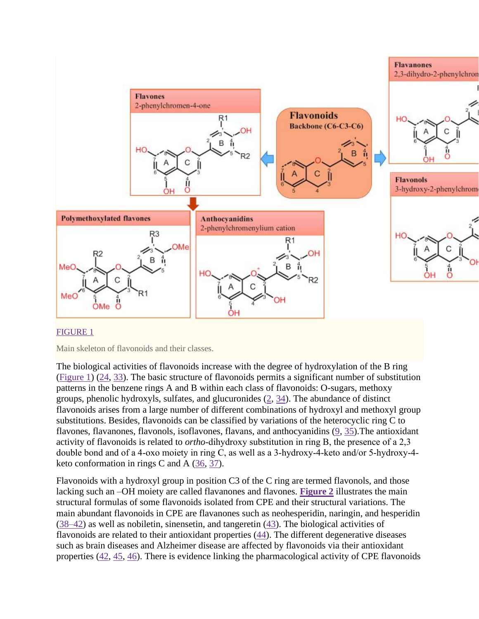

## [FIGURE 1](https://www.ncbi.nlm.nih.gov/pmc/articles/PMC7199889/figure/fig1/)

Main skeleton of flavonoids and their classes.

The biological activities of flavonoids increase with the degree of hydroxylation of the B ring [\(Figure 1\)](https://www.ncbi.nlm.nih.gov/pmc/articles/PMC7199889/figure/fig1/) [\(24,](https://www.ncbi.nlm.nih.gov/pmc/articles/PMC7199889/#bib24) [33\)](https://www.ncbi.nlm.nih.gov/pmc/articles/PMC7199889/#bib33). The basic structure of flavonoids permits a significant number of substitution patterns in the benzene rings A and B within each class of flavonoids: O-sugars, methoxy groups, phenolic hydroxyls, sulfates, and glucuronides  $(2, 34)$  $(2, 34)$  $(2, 34)$ . The abundance of distinct flavonoids arises from a large number of different combinations of hydroxyl and methoxyl group substitutions. Besides, flavonoids can be classified by variations of the heterocyclic ring C to flavones, flavanones, flavonols, isoflavones, flavans, and anthocyanidins [\(9,](https://www.ncbi.nlm.nih.gov/pmc/articles/PMC7199889/#bib9) [35\)](https://www.ncbi.nlm.nih.gov/pmc/articles/PMC7199889/#bib35).The antioxidant activity of flavonoids is related to *ortho*-dihydroxy substitution in ring B, the presence of a 2,3 double bond and of a 4‐oxo moiety in ring C, as well as a 3‐hydroxy‐4‐keto and/or 5‐hydroxy‐4‐ keto conformation in rings C and A [\(36,](https://www.ncbi.nlm.nih.gov/pmc/articles/PMC7199889/#bib36) [37\)](https://www.ncbi.nlm.nih.gov/pmc/articles/PMC7199889/#bib37).

Flavonoids with a hydroxyl group in position C3 of the C ring are termed flavonols, and those lacking such an –OH moiety are called flavanones and flavones. **[Figure 2](https://www.ncbi.nlm.nih.gov/pmc/articles/PMC7199889/figure/fig2/)** illustrates the main structural formulas of some flavonoids isolated from CPE and their structural variations. The main abundant flavonoids in CPE are flavanones such as neohesperidin, naringin, and hesperidin [\(38–42\)](https://www.ncbi.nlm.nih.gov/pmc/articles/PMC7199889/#bib38) as well as nobiletin, sinensetin, and tangeretin [\(43\)](https://www.ncbi.nlm.nih.gov/pmc/articles/PMC7199889/#bib43). The biological activities of flavonoids are related to their antioxidant properties [\(44\)](https://www.ncbi.nlm.nih.gov/pmc/articles/PMC7199889/#bib44). The different degenerative diseases such as brain diseases and Alzheimer disease are affected by flavonoids via their antioxidant properties [\(42,](https://www.ncbi.nlm.nih.gov/pmc/articles/PMC7199889/#bib42) [45,](https://www.ncbi.nlm.nih.gov/pmc/articles/PMC7199889/#bib45) [46\)](https://www.ncbi.nlm.nih.gov/pmc/articles/PMC7199889/#bib46). There is evidence linking the pharmacological activity of CPE flavonoids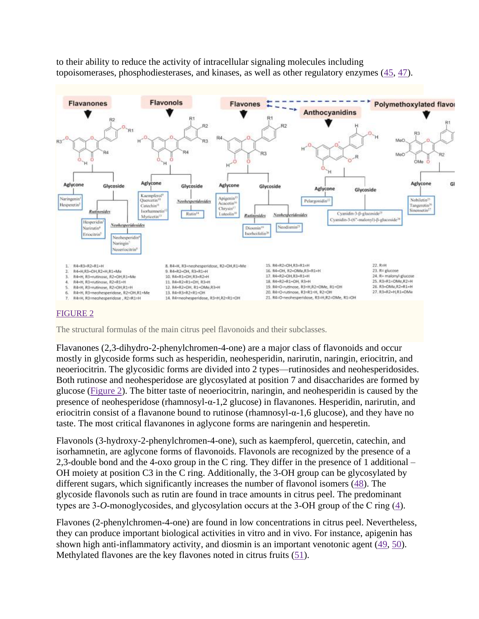to their ability to reduce the activity of intracellular signaling molecules including topoisomerases, phosphodiesterases, and kinases, as well as other regulatory enzymes [\(45,](https://www.ncbi.nlm.nih.gov/pmc/articles/PMC7199889/#bib45) [47\)](https://www.ncbi.nlm.nih.gov/pmc/articles/PMC7199889/#bib47).



## [FIGURE 2](https://www.ncbi.nlm.nih.gov/pmc/articles/PMC7199889/figure/fig2/)

The structural formulas of the main citrus peel flavonoids and their subclasses.

Flavanones (2,3-dihydro-2-phenylchromen-4-one) are a major class of flavonoids and occur mostly in glycoside forms such as hesperidin, neohesperidin, narirutin, naringin, eriocitrin, and neoeriocitrin. The glycosidic forms are divided into 2 types—rutinosides and neohesperidosides. Both rutinose and neohesperidose are glycosylated at position 7 and disaccharides are formed by glucose [\(Figure 2\)](https://www.ncbi.nlm.nih.gov/pmc/articles/PMC7199889/figure/fig2/). The bitter taste of neoeriocitrin, naringin, and neohesperidin is caused by the presence of neohesperidose (rhamnosyl-α-1,2 glucose) in flavanones. Hesperidin, narirutin, and eriocitrin consist of a flavanone bound to rutinose (rhamnosyl- $\alpha$ -1,6 glucose), and they have no taste. The most critical flavanones in aglycone forms are naringenin and hesperetin.

Flavonols (3-hydroxy-2-phenylchromen-4-one), such as kaempferol, quercetin, catechin, and isorhamnetin, are aglycone forms of flavonoids. Flavonols are recognized by the presence of a 2,3-double bond and the 4-oxo group in the C ring. They differ in the presence of 1 additional – OH moiety at position C3 in the C ring. Additionally, the 3-OH group can be glycosylated by different sugars, which significantly increases the number of flavonol isomers [\(48\)](https://www.ncbi.nlm.nih.gov/pmc/articles/PMC7199889/#bib48). The glycoside flavonols such as rutin are found in trace amounts in citrus peel. The predominant types are 3‐*O*‐monoglycosides, and glycosylation occurs at the 3‐OH group of the C ring [\(4\)](https://www.ncbi.nlm.nih.gov/pmc/articles/PMC7199889/#bib4).

Flavones (2-phenylchromen-4-one) are found in low concentrations in citrus peel. Nevertheless, they can produce important biological activities in vitro and in vivo. For instance, apigenin has shown high anti-inflammatory activity, and diosmin is an important venotonic agent [\(49,](https://www.ncbi.nlm.nih.gov/pmc/articles/PMC7199889/#bib49) [50\)](https://www.ncbi.nlm.nih.gov/pmc/articles/PMC7199889/#bib50). Methylated flavones are the key flavones noted in citrus fruits [\(51\)](https://www.ncbi.nlm.nih.gov/pmc/articles/PMC7199889/#bib51).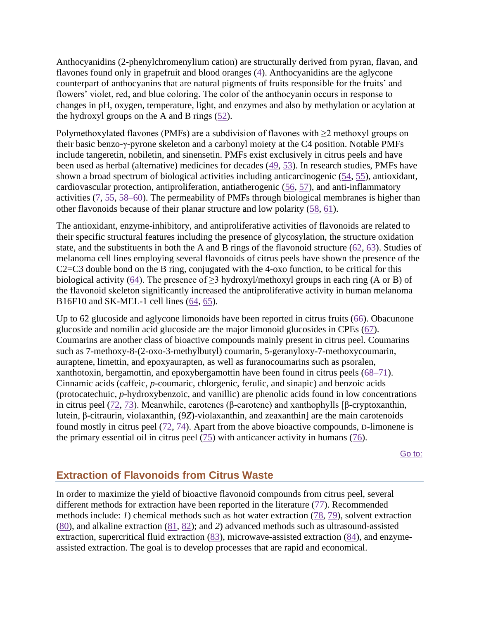Anthocyanidins (2-phenylchromenylium cation) are structurally derived from pyran, flavan, and flavones found only in grapefruit and blood oranges [\(4\)](https://www.ncbi.nlm.nih.gov/pmc/articles/PMC7199889/#bib4). Anthocyanidins are the aglycone counterpart of anthocyanins that are natural pigments of fruits responsible for the fruits' and flowers' violet, red, and blue coloring. The color of the anthocyanin occurs in response to changes in pH, oxygen, temperature, light, and enzymes and also by methylation or acylation at the hydroxyl groups on the A and B rings  $(52)$ .

Polymethoxylated flavones (PMFs) are a subdivision of flavones with  $\geq 2$  methoxyl groups on their basic benzo-γ-pyrone skeleton and a carbonyl moiety at the C4 position. Notable PMFs include tangeretin, nobiletin, and sinensetin. PMFs exist exclusively in citrus peels and have been used as herbal (alternative) medicines for decades [\(49,](https://www.ncbi.nlm.nih.gov/pmc/articles/PMC7199889/#bib49) [53\)](https://www.ncbi.nlm.nih.gov/pmc/articles/PMC7199889/#bib53). In research studies, PMFs have shown a broad spectrum of biological activities including anticarcinogenic [\(54,](https://www.ncbi.nlm.nih.gov/pmc/articles/PMC7199889/#bib54) [55\)](https://www.ncbi.nlm.nih.gov/pmc/articles/PMC7199889/#bib55), antioxidant, cardiovascular protection, antiproliferation, antiatherogenic [\(56,](https://www.ncbi.nlm.nih.gov/pmc/articles/PMC7199889/#bib56) [57\)](https://www.ncbi.nlm.nih.gov/pmc/articles/PMC7199889/#bib57), and anti-inflammatory activities [\(7,](https://www.ncbi.nlm.nih.gov/pmc/articles/PMC7199889/#bib7) [55,](https://www.ncbi.nlm.nih.gov/pmc/articles/PMC7199889/#bib55) [58–60\)](https://www.ncbi.nlm.nih.gov/pmc/articles/PMC7199889/#bib58). The permeability of PMFs through biological membranes is higher than other flavonoids because of their planar structure and low polarity [\(58,](https://www.ncbi.nlm.nih.gov/pmc/articles/PMC7199889/#bib58) [61\)](https://www.ncbi.nlm.nih.gov/pmc/articles/PMC7199889/#bib61).

The antioxidant, enzyme-inhibitory, and antiproliferative activities of flavonoids are related to their specific structural features including the presence of glycosylation, the structure oxidation state, and the substituents in both the A and B rings of the flavonoid structure [\(62,](https://www.ncbi.nlm.nih.gov/pmc/articles/PMC7199889/#bib62) [63\)](https://www.ncbi.nlm.nih.gov/pmc/articles/PMC7199889/#bib63). Studies of melanoma cell lines employing several flavonoids of citrus peels have shown the presence of the C2=C3 double bond on the B ring, conjugated with the 4-oxo function, to be critical for this biological activity [\(64\)](https://www.ncbi.nlm.nih.gov/pmc/articles/PMC7199889/#bib64). The presence of  $\geq$ 3 hydroxyl/methoxyl groups in each ring (A or B) of the flavonoid skeleton significantly increased the antiproliferative activity in human melanoma B16F10 and SK-MEL-1 cell lines [\(64,](https://www.ncbi.nlm.nih.gov/pmc/articles/PMC7199889/#bib64) [65\)](https://www.ncbi.nlm.nih.gov/pmc/articles/PMC7199889/#bib65).

Up to 62 glucoside and aglycone limonoids have been reported in citrus fruits [\(66\)](https://www.ncbi.nlm.nih.gov/pmc/articles/PMC7199889/#bib66). Obacunone glucoside and nomilin acid glucoside are the major limonoid glucosides in CPEs [\(67\)](https://www.ncbi.nlm.nih.gov/pmc/articles/PMC7199889/#bib67). Coumarins are another class of bioactive compounds mainly present in citrus peel. Coumarins such as 7-methoxy-8-(2-oxo-3-methylbutyl) coumarin, 5-geranyloxy-7-methoxycoumarin, auraptene, limettin, and epoxyaurapten, as well as furanocoumarins such as psoralen, xanthotoxin, bergamottin, and epoxybergamottin have been found in citrus peels [\(68–71\)](https://www.ncbi.nlm.nih.gov/pmc/articles/PMC7199889/#bib68). Cinnamic acids (caffeic, *p*-coumaric, chlorgenic, ferulic, and sinapic) and benzoic acids (protocatechuic, *p*-hydroxybenzoic, and vanillic) are phenolic acids found in low concentrations in citrus peel [\(72,](https://www.ncbi.nlm.nih.gov/pmc/articles/PMC7199889/#bib72) [73\)](https://www.ncbi.nlm.nih.gov/pmc/articles/PMC7199889/#bib73). Meanwhile, carotenes (β-carotene) and xanthophylls [β-cryptoxanthin, lutein, β-citraurin, violaxanthin, (9*Z*)-violaxanthin, and zeaxanthin] are the main carotenoids found mostly in citrus peel [\(72,](https://www.ncbi.nlm.nih.gov/pmc/articles/PMC7199889/#bib72) [74\)](https://www.ncbi.nlm.nih.gov/pmc/articles/PMC7199889/#bib74). Apart from the above bioactive compounds, D-limonene is the primary essential oil in citrus peel [\(75\)](https://www.ncbi.nlm.nih.gov/pmc/articles/PMC7199889/#bib75) with anticancer activity in humans [\(76\)](https://www.ncbi.nlm.nih.gov/pmc/articles/PMC7199889/#bib76).

[Go to:](https://www.ncbi.nlm.nih.gov/pmc/articles/PMC7199889/)

# **Extraction of Flavonoids from Citrus Waste**

In order to maximize the yield of bioactive flavonoid compounds from citrus peel, several different methods for extraction have been reported in the literature [\(77\)](https://www.ncbi.nlm.nih.gov/pmc/articles/PMC7199889/#bib77). Recommended methods include: *1*) chemical methods such as hot water extraction [\(78,](https://www.ncbi.nlm.nih.gov/pmc/articles/PMC7199889/#bib78) [79\)](https://www.ncbi.nlm.nih.gov/pmc/articles/PMC7199889/#bib79), solvent extraction [\(80\)](https://www.ncbi.nlm.nih.gov/pmc/articles/PMC7199889/#bib80), and alkaline extraction [\(81,](https://www.ncbi.nlm.nih.gov/pmc/articles/PMC7199889/#bib81) [82\)](https://www.ncbi.nlm.nih.gov/pmc/articles/PMC7199889/#bib82); and *2*) advanced methods such as ultrasound-assisted extraction, supercritical fluid extraction [\(83\)](https://www.ncbi.nlm.nih.gov/pmc/articles/PMC7199889/#bib83), microwave-assisted extraction [\(84\)](https://www.ncbi.nlm.nih.gov/pmc/articles/PMC7199889/#bib84), and enzymeassisted extraction. The goal is to develop processes that are rapid and economical.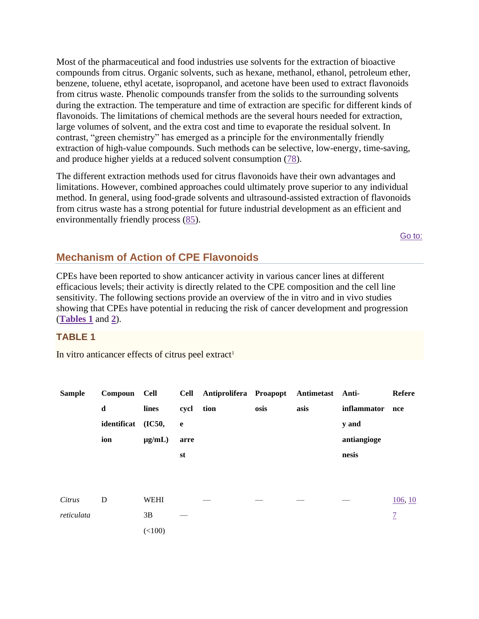Most of the pharmaceutical and food industries use solvents for the extraction of bioactive compounds from citrus. Organic solvents, such as hexane, methanol, ethanol, petroleum ether, benzene, toluene, ethyl acetate, isopropanol, and acetone have been used to extract flavonoids from citrus waste. Phenolic compounds transfer from the solids to the surrounding solvents during the extraction. The temperature and time of extraction are specific for different kinds of flavonoids. The limitations of chemical methods are the several hours needed for extraction, large volumes of solvent, and the extra cost and time to evaporate the residual solvent. In contrast, "green chemistry" has emerged as a principle for the environmentally friendly extraction of high-value compounds. Such methods can be selective, low-energy, time-saving, and produce higher yields at a reduced solvent consumption (78).

The different extraction methods used for citrus flavonoids have their own advantages and limitations. However, combined approaches could ultimately prove superior to any individual method. In general, using food-grade solvents and ultrasound-assisted extraction of flavonoids from citrus waste has a strong potential for future industrial development as an efficient and environmentally friendly process (85).

Go to:

# **Mechanism of Action of CPE Flavonoids**

CPEs have been reported to show anticancer activity in various cancer lines at different efficacious levels; their activity is directly related to the CPE composition and the cell line sensitivity. The following sections provide an overview of the in vitro and in vivo studies showing that CPEs have potential in reducing the risk of cancer development and progression (Tables 1 and 2).

## **TABLE 1**

In vitro anticancer effects of citrus peel extract<sup>1</sup>

| <b>Sample</b> | Compoun Cell |             |      | Cell Antiprolifera Proapopt Antimetast Anti- |      |      |             | <b>Refere</b>  |
|---------------|--------------|-------------|------|----------------------------------------------|------|------|-------------|----------------|
|               | $\mathbf d$  | lines       | cycl | tion                                         | osis | asis | inflammator | nce            |
|               | identificat  | (IC50,      | e    |                                              |      |      | y and       |                |
|               | ion          | $\mu$ g/mL) | arre |                                              |      |      | antiangioge |                |
|               |              |             | st   |                                              |      |      | nesis       |                |
|               |              |             |      |                                              |      |      |             |                |
|               |              |             |      |                                              |      |      |             |                |
| Citrus        | D            | <b>WEHI</b> |      |                                              |      |      |             | 106, 10        |
| reticulata    |              | 3B          |      |                                              |      |      |             | $\overline{1}$ |
|               |              | (<100)      |      |                                              |      |      |             |                |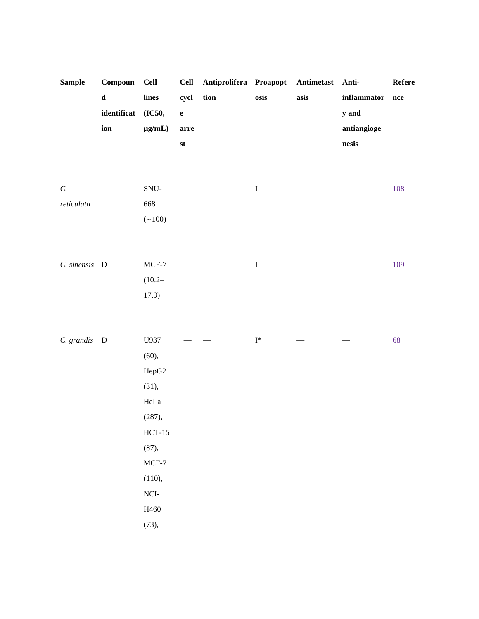| <b>Sample</b>   | $\bf Compoun$ | <b>Cell</b>   | <b>Cell</b>   | Antiprolifera Proapopt |                | ${\bf Antimetast}$ | Anti-                           | Refere     |
|-----------------|---------------|---------------|---------------|------------------------|----------------|--------------------|---------------------------------|------------|
|                 | $\mathbf d$   | lines         | cycl          | tion                   | osis           | asis               | $\bf inflammator$               | nce        |
|                 | identificat   | (IC50,        | $\mathbf e$   |                        |                |                    | y and                           |            |
|                 | ion           | $\mu g/mL)$   | arre          |                        |                |                    | antiangioge                     |            |
|                 |               |               | $\mathbf{st}$ |                        |                |                    | $\operatorname{\mathbf{nesis}}$ |            |
|                 |               |               |               |                        |                |                    |                                 |            |
|                 |               |               |               |                        |                |                    |                                 |            |
| $\mathcal{C}$ . |               | $\mbox{SNU-}$ |               |                        | $\mathbf I$    |                    |                                 | <u>108</u> |
| reticulata      |               | 668           |               |                        |                |                    |                                 |            |
|                 |               | $(\sim 100)$  |               |                        |                |                    |                                 |            |
|                 |               |               |               |                        |                |                    |                                 |            |
|                 |               |               |               |                        |                |                    |                                 |            |
| C. sinensis D   |               | $MCF-7$       |               |                        | $\bf I$        |                    |                                 | <u>109</u> |
|                 |               | $(10.2 -$     |               |                        |                |                    |                                 |            |
|                 |               | 17.9)         |               |                        |                |                    |                                 |            |
|                 |               |               |               |                        |                |                    |                                 |            |
|                 |               |               |               |                        |                |                    |                                 |            |
| C. grandis D    |               | U937          |               |                        | $\mathbf{I}^*$ |                    |                                 | 68         |
|                 |               | (60),         |               |                        |                |                    |                                 |            |
|                 |               | HepG2         |               |                        |                |                    |                                 |            |
|                 |               | (31),         |               |                        |                |                    |                                 |            |
|                 |               | $\rm HeLa$    |               |                        |                |                    |                                 |            |
|                 |               | (287),        |               |                        |                |                    |                                 |            |
|                 |               | $HCT-15$      |               |                        |                |                    |                                 |            |
|                 |               | (87),         |               |                        |                |                    |                                 |            |
|                 |               | $MCF-7$       |               |                        |                |                    |                                 |            |
|                 |               | (110),        |               |                        |                |                    |                                 |            |
|                 |               | $\rm NCI$ -   |               |                        |                |                    |                                 |            |
|                 |               | H460          |               |                        |                |                    |                                 |            |
|                 |               | (73),         |               |                        |                |                    |                                 |            |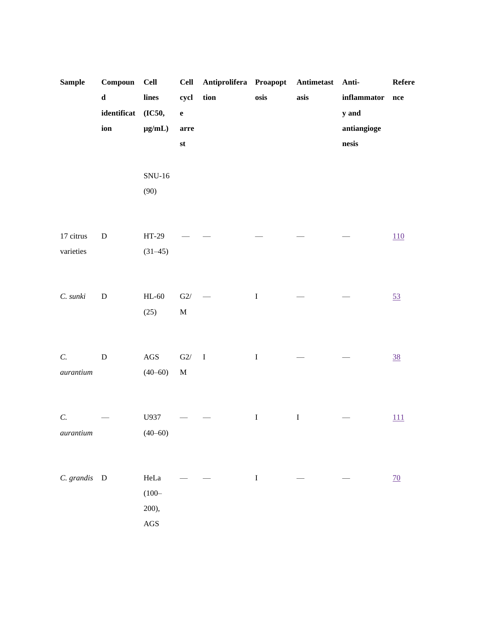| <b>Sample</b>  | Compoun      | <b>Cell</b> | <b>Cell</b>   | Antiprolifera Proapopt |         | Antimetast | Anti-                           | Refere         |
|----------------|--------------|-------------|---------------|------------------------|---------|------------|---------------------------------|----------------|
|                | $\mathbf d$  | lines       | cycl          | tion                   | osis    | asis       | $\bf inflammator$               | nce            |
|                | identificat  | (IC50,      | $\mathbf e$   |                        |         |            | y and                           |                |
|                | ion          | $\mu g/mL)$ | arre          |                        |         |            | antiangioge                     |                |
|                |              |             | $\mathbf{st}$ |                        |         |            | $\operatorname{\mathbf{nesis}}$ |                |
|                |              |             |               |                        |         |            |                                 |                |
|                |              | $SNU-16$    |               |                        |         |            |                                 |                |
|                |              | (90)        |               |                        |         |            |                                 |                |
|                |              |             |               |                        |         |            |                                 |                |
|                |              |             |               |                        |         |            |                                 |                |
| 17 citrus      | ${\bf D}$    | $HT-29$     |               |                        |         |            |                                 | 110            |
| varieties      |              | $(31-45)$   |               |                        |         |            |                                 |                |
|                |              |             |               |                        |         |            |                                 |                |
|                |              |             |               |                        |         |            |                                 |                |
| C. sunki       | ${\bf D}$    | $HL-60$     | $\mbox{G2}/$  |                        | $\bf I$ |            |                                 | 53             |
|                |              | (25)        | $\mathbf M$   |                        |         |            |                                 |                |
|                |              |             |               |                        |         |            |                                 |                |
|                |              |             |               |                        |         |            |                                 |                |
| $\cal C.$      | ${\bf D}$    | $\rm{AGS}$  | $\mbox{G2}/$  | $\;$ I                 | $\rm I$ |            |                                 | $\frac{38}{5}$ |
| $\it auration$ |              | $(40 - 60)$ | $\mathbf M$   |                        |         |            |                                 |                |
|                |              |             |               |                        |         |            |                                 |                |
| $\cal C.$      |              | U937        |               |                        | $\bf I$ | $\bf I$    |                                 | 111            |
| $\it auration$ |              | $(40 - 60)$ |               |                        |         |            |                                 |                |
|                |              |             |               |                        |         |            |                                 |                |
|                |              |             |               |                        |         |            |                                 |                |
| C. grandis     | $\mathbf{D}$ | HeLa        |               |                        | $\bf I$ |            |                                 | <u>70</u>      |
|                |              | $(100 -$    |               |                        |         |            |                                 |                |
|                |              | 200),       |               |                        |         |            |                                 |                |
|                |              | $\rm{AGS}$  |               |                        |         |            |                                 |                |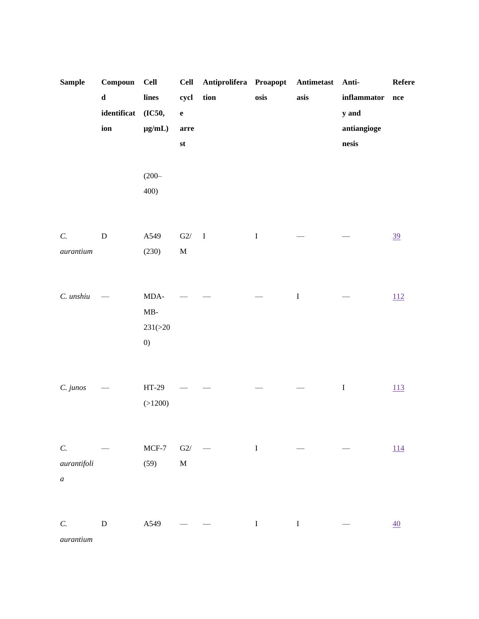| <b>Sample</b>    | Compoun     | <b>Cell</b>       | <b>Cell</b>   | Antiprolifera Proapopt                             |             | Antimetast  | Anti-                           | ${\bf Reference}$ |
|------------------|-------------|-------------------|---------------|----------------------------------------------------|-------------|-------------|---------------------------------|-------------------|
|                  | $\mathbf d$ | lines             | cycl          | tion                                               | osis        | asis        | $\bf inflammator$               | $\bf nce$         |
|                  | identificat | (IC50,            | $\mathbf e$   |                                                    |             |             | y and                           |                   |
|                  | ion         | $\mu g/mL)$       | $arr$ e       |                                                    |             |             | antiangioge                     |                   |
|                  |             |                   | $\mathbf{st}$ |                                                    |             |             | $\operatorname{\mathbf{nesis}}$ |                   |
|                  |             |                   |               |                                                    |             |             |                                 |                   |
|                  |             | $(200 -$          |               |                                                    |             |             |                                 |                   |
|                  |             | 400)              |               |                                                    |             |             |                                 |                   |
|                  |             |                   |               |                                                    |             |             |                                 |                   |
|                  |             |                   |               |                                                    |             |             |                                 |                   |
| $\mathcal{C}.$   | ${\bf D}$   | A549              | $\mbox{G2}/$  | $\mathbf{I}$                                       | $\mathbf I$ |             |                                 | 39                |
| $\it auration$   |             | (230)             | $\mathbf M$   |                                                    |             |             |                                 |                   |
|                  |             |                   |               |                                                    |             |             |                                 |                   |
|                  |             |                   |               |                                                    |             |             |                                 |                   |
| C. unshiu        |             | $\rm MDA\mbox{-}$ |               |                                                    |             | $\mathbf I$ |                                 | 112               |
|                  |             | $MB-$             |               |                                                    |             |             |                                 |                   |
|                  |             | 231(>20           |               |                                                    |             |             |                                 |                   |
|                  |             | $\left( 0\right)$ |               |                                                    |             |             |                                 |                   |
|                  |             |                   |               |                                                    |             |             |                                 |                   |
|                  |             |                   |               |                                                    |             |             |                                 |                   |
| C. junos         |             | $HT-29$           |               |                                                    |             |             | $\bf I$                         | 113               |
|                  |             | (>1200)           |               |                                                    |             |             |                                 |                   |
|                  |             |                   |               |                                                    |             |             |                                 |                   |
|                  |             |                   |               |                                                    |             |             |                                 |                   |
| C.               |             | $MCF-7$           | G2/           | $\qquad \qquad \Gamma$<br>$\overline{\phantom{0}}$ |             |             |                                 | 114               |
| aurantifoli      |             | (59)              | $\mathbf M$   |                                                    |             |             |                                 |                   |
| $\boldsymbol{a}$ |             |                   |               |                                                    |             |             |                                 |                   |
|                  |             |                   |               |                                                    |             |             |                                 |                   |
|                  |             |                   |               |                                                    |             |             |                                 |                   |
| C.               | ${\bf D}$   | A549              |               |                                                    | $\bf I$     | $\bf I$     |                                 | $\underline{40}$  |
| aurantium        |             |                   |               |                                                    |             |             |                                 |                   |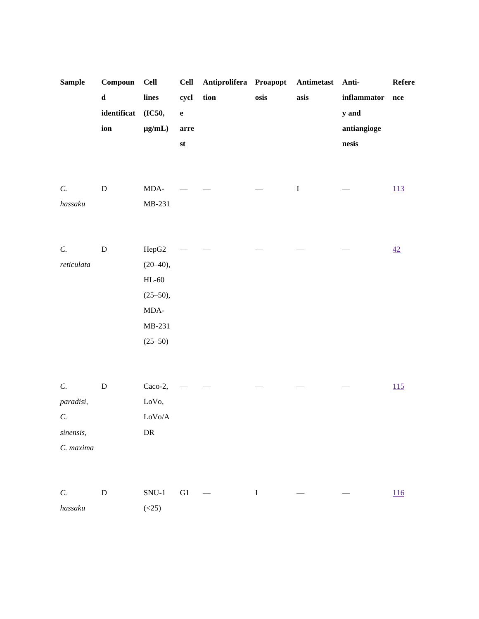| <b>Sample</b>  | Compoun     | <b>Cell</b>    | <b>Cell</b> | Antiprolifera Proapopt |      | Antimetast | Anti-       | Refere |
|----------------|-------------|----------------|-------------|------------------------|------|------------|-------------|--------|
|                | $\mathbf d$ | lines          | cycl        | tion                   | osis | asis       | inflammator | nce    |
|                | identificat | (IC50,         | $\mathbf e$ |                        |      |            | y and       |        |
|                | ion         | $\mu g/mL)$    | arre        |                        |      |            | antiangioge |        |
|                |             |                | st          |                        |      |            | nesis       |        |
|                |             |                |             |                        |      |            |             |        |
|                |             |                |             |                        |      |            |             |        |
| $C$ .          | ${\bf D}$   | MDA-           |             |                        |      | $\bf I$    |             | 113    |
| hassaku        |             | MB-231         |             |                        |      |            |             |        |
|                |             |                |             |                        |      |            |             |        |
|                |             |                |             |                        |      |            |             |        |
| $C$ .          | ${\bf D}$   | HepG2          |             |                        |      |            |             | 42     |
| reticulata     |             | $(20 - 40),$   |             |                        |      |            |             |        |
|                |             | $HL-60$        |             |                        |      |            |             |        |
|                |             | $(25 - 50),$   |             |                        |      |            |             |        |
|                |             | MDA-           |             |                        |      |            |             |        |
|                |             | MB-231         |             |                        |      |            |             |        |
|                |             | $(25 - 50)$    |             |                        |      |            |             |        |
|                |             |                |             |                        |      |            |             |        |
|                |             |                |             |                        |      |            |             |        |
| $\mathcal{C}.$ | ${\bf D}$   | Caco-2,        |             |                        |      |            |             | 115    |
| paradisi,      |             | LoVo,          |             |                        |      |            |             |        |
| C.             |             | ${\rm LoVo/A}$ |             |                        |      |            |             |        |
| sinensis,      |             | ${\rm DR}$     |             |                        |      |            |             |        |

C. maxima

|         |       | $C.$ D SNU-1 G1 $-$ I | $\sim$ $-$ | the company of the company | 116 |
|---------|-------|-----------------------|------------|----------------------------|-----|
| hassaku | (<25) |                       |            |                            |     |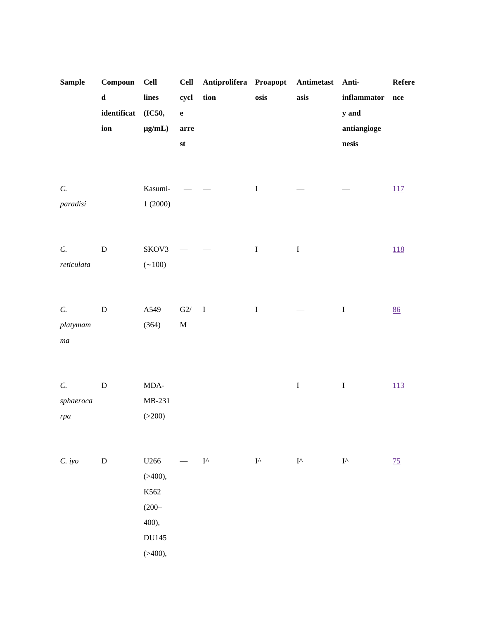| <b>Sample</b>                      | Compoun<br>$\mathbf d$<br>identificat<br>ion | <b>Cell</b><br>lines<br>(IC50,<br>$\mu g/mL)$                        | <b>Cell</b><br>cycl<br>$\mathbf{e}$<br>arre<br>st | Antiprolifera Proapopt<br>tion | osis                | ${\bf Antimetast}$<br>asis | Anti-<br>inflammator<br>y and<br>antiangioge<br>$\operatorname{\mathbf{nesis}}$ | Refere<br>nce     |
|------------------------------------|----------------------------------------------|----------------------------------------------------------------------|---------------------------------------------------|--------------------------------|---------------------|----------------------------|---------------------------------------------------------------------------------|-------------------|
| $\mathcal{C}.$<br>paradisi         |                                              | Kasumi-<br>1(2000)                                                   |                                                   |                                | $\mathbf I$         |                            |                                                                                 | 117               |
| $\mathcal{C}.$<br>reticulata       | ${\bf D}$                                    | SKOV3<br>$({\sim}100)$                                               |                                                   |                                | $\bf I$             | $\bf I$                    |                                                                                 | $\underline{118}$ |
| C.<br>platymam<br>ma               | ${\bf D}$                                    | A549<br>(364)                                                        | $\mbox{G2}/$<br>$\mathbf M$                       | $\bf I$                        | $\mathbf I$         |                            | $\rm I$                                                                         | 86                |
| $\mathcal{C}.$<br>sphaeroca<br>rpa | ${\bf D}$                                    | $\rm MDA\mbox{-}$<br>MB-231<br>( >200)                               |                                                   |                                |                     | $\bf I$                    | $\bf I$                                                                         | 113               |
| C. iyo                             | ${\bf D}$                                    | U266<br>( > 400),<br>K562<br>$(200 -$<br>400),<br>DU145<br>( > 400), |                                                   | $\mathbf{I}^\wedge$            | $\mathbf{I}^\wedge$ | $\mathbf{I}^\wedge$        | $\mathbf{I}^\wedge$                                                             | $\frac{75}{2}$    |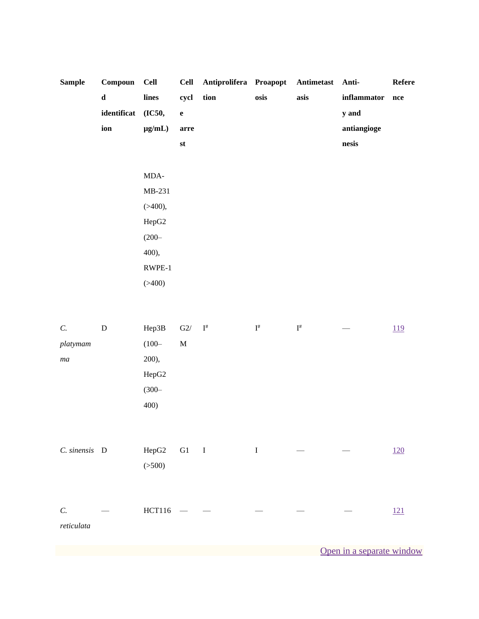| <b>Sample</b> | Compoun     | <b>Cell</b> | <b>Cell</b>                       | Antiprolifera Proapopt Antimetast Anti- |      |      |             | <b>Refere</b> |
|---------------|-------------|-------------|-----------------------------------|-----------------------------------------|------|------|-------------|---------------|
|               | $\mathbf d$ | lines       | cycl                              | tion                                    | osis | asis | inflammator | nce           |
|               | identificat | (IC50,      | $\mathbf{e}% _{t}\left( t\right)$ |                                         |      |      | y and       |               |
|               | ion         | $\mu g/mL)$ | arre                              |                                         |      |      | antiangioge |               |
|               |             |             | st                                |                                         |      |      | nesis       |               |
|               |             |             |                                   |                                         |      |      |             |               |
|               |             | MDA-        |                                   |                                         |      |      |             |               |
|               |             | MB-231      |                                   |                                         |      |      |             |               |
|               |             | ( > 400),   |                                   |                                         |      |      |             |               |
|               |             | HepG2       |                                   |                                         |      |      |             |               |
|               |             | $(200 -$    |                                   |                                         |      |      |             |               |
|               |             | 400),       |                                   |                                         |      |      |             |               |
|               |             | RWPE-1      |                                   |                                         |      |      |             |               |
|               |             | (>400)      |                                   |                                         |      |      |             |               |
|               |             |             |                                   |                                         |      |      |             |               |

| $C$ .             | ${\bf D}$ | Hep3B         | G2/         | $\mathbf{I}^{\#}$          | $\mathbf{I}^{\#}$ | $\mathbf{I}^{\#}$ | <u>119</u> |
|-------------------|-----------|---------------|-------------|----------------------------|-------------------|-------------------|------------|
| platymam          |           | $(100 -$      | $\mathbf M$ |                            |                   |                   |            |
| $m\boldsymbol{a}$ |           | 200,          |             |                            |                   |                   |            |
|                   |           | HepG2         |             |                            |                   |                   |            |
|                   |           | $(300 -$      |             |                            |                   |                   |            |
|                   |           | 400)          |             |                            |                   |                   |            |
|                   |           |               |             |                            |                   |                   |            |
|                   |           |               |             |                            |                   |                   |            |
| C. sinensis D     |           | HepG2         | ${\rm G1}$  | $\qquad \qquad \textbf{I}$ | I                 |                   | 120        |
|                   |           | ( >500)       |             |                            |                   |                   |            |
|                   |           |               |             |                            |                   |                   |            |
|                   |           |               |             |                            |                   |                   |            |
| $C$ .             |           | <b>HCT116</b> |             |                            |                   |                   | 121        |
| reticulata        |           |               |             |                            |                   |                   |            |
|                   |           |               |             |                            |                   |                   |            |

Open in a separate window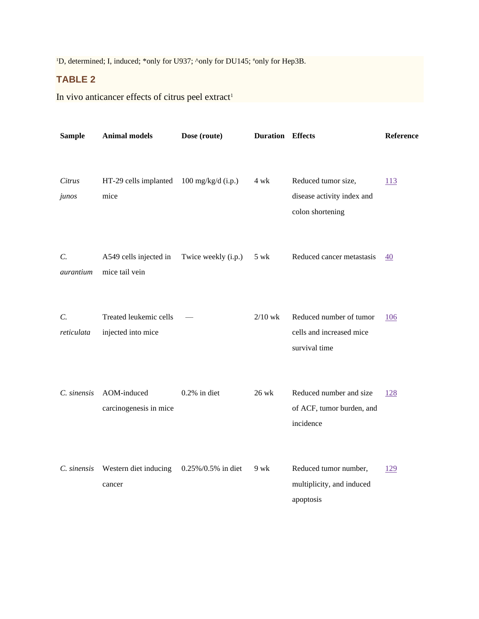<sup>1</sup>D, determined; I, induced; \*only for U937; ^only for DU145; \*only for Hep3B.

# **TABLE 2**

In vivo anticancer effects of citrus peel extract<sup>1</sup>

| <b>Sample</b>                | <b>Animal models</b>                         | Dose (route)                             | <b>Duration Effects</b> |                                                                       | Reference        |
|------------------------------|----------------------------------------------|------------------------------------------|-------------------------|-----------------------------------------------------------------------|------------------|
| Citrus<br>junos              | HT-29 cells implanted<br>mice                | $100 \frac{\text{mg}}{\text{kg}}$ (i.p.) | 4 wk                    | Reduced tumor size,<br>disease activity index and<br>colon shortening | 113              |
| $\mathcal{C}$ .<br>aurantium | A549 cells injected in<br>mice tail vein     | Twice weekly (i.p.)                      | 5 wk                    | Reduced cancer metastasis                                             | $\underline{40}$ |
| $C$ .<br>reticulata          | Treated leukemic cells<br>injected into mice |                                          | $2/10$ wk               | Reduced number of tumor<br>cells and increased mice<br>survival time  | 106              |
| C. sinensis                  | AOM-induced<br>carcinogenesis in mice        | $0.2\%$ in diet                          | 26 wk                   | Reduced number and size<br>of ACF, tumor burden, and<br>incidence     | <u>128</u>       |
| C. sinensis                  | Western diet inducing<br>cancer              | 0.25%/0.5% in diet                       | 9 wk                    | Reduced tumor number,<br>multiplicity, and induced<br>apoptosis       | 129              |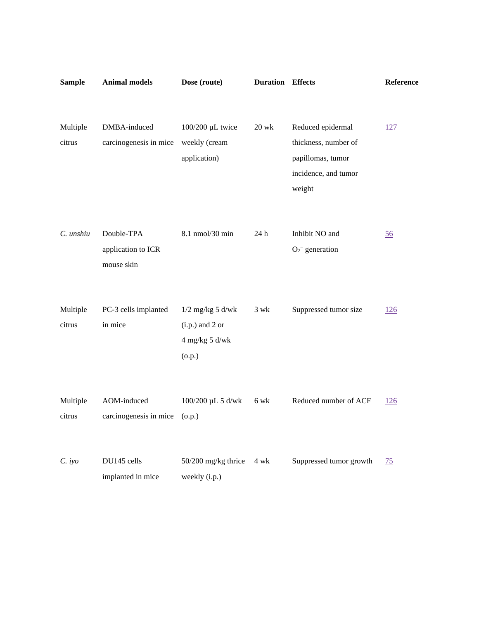| <b>Sample</b>      | <b>Animal models</b>                           | Dose (route)                                                            | <b>Duration Effects</b> |                                                                                                  | Reference  |
|--------------------|------------------------------------------------|-------------------------------------------------------------------------|-------------------------|--------------------------------------------------------------------------------------------------|------------|
|                    |                                                |                                                                         |                         |                                                                                                  |            |
| Multiple<br>citrus | DMBA-induced<br>carcinogenesis in mice         | 100/200 µL twice<br>weekly (cream<br>application)                       | $20$ wk                 | Reduced epidermal<br>thickness, number of<br>papillomas, tumor<br>incidence, and tumor<br>weight | <u>127</u> |
| C. unshiu          | Double-TPA<br>application to ICR<br>mouse skin | 8.1 nmol/30 min                                                         | 24h                     | Inhibit NO and<br>$O_2$ <sup>-</sup> generation                                                  | 56         |
| Multiple<br>citrus | PC-3 cells implanted<br>in mice                | $1/2$ mg/kg 5 d/wk<br>$(i.p.)$ and 2 or<br>$4$ mg/kg $5$ d/wk<br>(o.p.) | $3$ wk                  | Suppressed tumor size                                                                            | 126        |
| Multiple<br>citrus | AOM-induced<br>carcinogenesis in mice          | 100/200 μL 5 d/wk<br>(o.p.)                                             | 6 wk                    | Reduced number of ACF                                                                            | <u>126</u> |
| C. iyo             | DU145 cells<br>implanted in mice               | 50/200 mg/kg thrice<br>weekly (i.p.)                                    | 4 wk                    | Suppressed tumor growth                                                                          | 75         |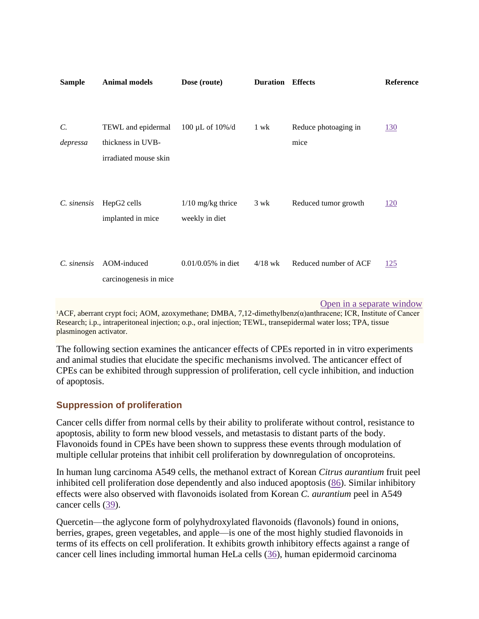| <b>Sample</b>               | <b>Animal models</b>                                             | Dose (route)                          | <b>Duration</b> | <b>Effects</b>               | Reference  |
|-----------------------------|------------------------------------------------------------------|---------------------------------------|-----------------|------------------------------|------------|
| $\mathcal{C}$ .<br>depressa | TEWL and epidermal<br>thickness in UVB-<br>irradiated mouse skin | $100 \mu L$ of $10\% / d$             | 1 wk            | Reduce photoaging in<br>mice | <u>130</u> |
| C. sinensis                 | HepG2 cells<br>implanted in mice                                 | $1/10$ mg/kg thrice<br>weekly in diet | 3 wk            | Reduced tumor growth         | <u>120</u> |
| C. sinensis                 | AOM-induced<br>carcinogenesis in mice                            | $0.01/0.05\%$ in diet                 | $4/18$ wk       | Reduced number of ACF        | <u>125</u> |

[Open in a separate window](https://www.ncbi.nlm.nih.gov/pmc/articles/PMC7199889/table/tbl2/?report=objectonly)

<sup>1</sup>ACF, aberrant crypt foci; AOM, azoxymethane; DMBA, 7,12-dimethylbenz(α)anthracene; ICR, Institute of Cancer Research; i.p., intraperitoneal injection; o.p., oral injection; TEWL, transepidermal water loss; TPA, tissue plasminogen activator.

The following section examines the anticancer effects of CPEs reported in in vitro experiments and animal studies that elucidate the specific mechanisms involved. The anticancer effect of CPEs can be exhibited through suppression of proliferation, cell cycle inhibition, and induction of apoptosis.

# **Suppression of proliferation**

Cancer cells differ from normal cells by their ability to proliferate without control, resistance to apoptosis, ability to form new blood vessels, and metastasis to distant parts of the body. Flavonoids found in CPEs have been shown to suppress these events through modulation of multiple cellular proteins that inhibit cell proliferation by downregulation of oncoproteins.

In human lung carcinoma A549 cells, the methanol extract of Korean *Citrus aurantium* fruit peel inhibited cell proliferation dose dependently and also induced apoptosis [\(86\)](https://www.ncbi.nlm.nih.gov/pmc/articles/PMC7199889/#bib86). Similar inhibitory effects were also observed with flavonoids isolated from Korean *C. aurantium* peel in A549 cancer cells [\(39\)](https://www.ncbi.nlm.nih.gov/pmc/articles/PMC7199889/#bib39).

Quercetin—the aglycone form of polyhydroxylated flavonoids (flavonols) found in onions, berries, grapes, green vegetables, and apple—is one of the most highly studied flavonoids in terms of its effects on cell proliferation. It exhibits growth inhibitory effects against a range of cancer cell lines including immortal human HeLa cells [\(36\)](https://www.ncbi.nlm.nih.gov/pmc/articles/PMC7199889/#bib36), human epidermoid carcinoma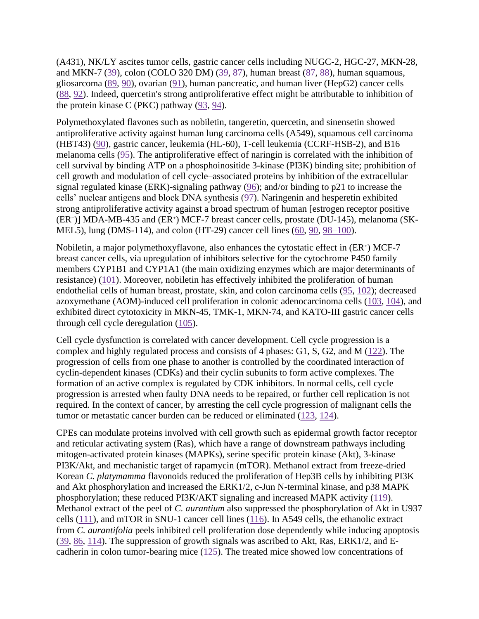(A431), NK/LY ascites tumor cells, gastric cancer cells including NUGC-2, HGC-27, MKN-28, and MKN-7 [\(39\)](https://www.ncbi.nlm.nih.gov/pmc/articles/PMC7199889/#bib39), colon (COLO 320 DM) [\(39,](https://www.ncbi.nlm.nih.gov/pmc/articles/PMC7199889/#bib39) [87\)](https://www.ncbi.nlm.nih.gov/pmc/articles/PMC7199889/#bib87), human breast [\(87,](https://www.ncbi.nlm.nih.gov/pmc/articles/PMC7199889/#bib87) [88\)](https://www.ncbi.nlm.nih.gov/pmc/articles/PMC7199889/#bib88), human squamous, gliosarcoma [\(89,](https://www.ncbi.nlm.nih.gov/pmc/articles/PMC7199889/#bib89) [90\)](https://www.ncbi.nlm.nih.gov/pmc/articles/PMC7199889/#bib90), ovarian [\(91\)](https://www.ncbi.nlm.nih.gov/pmc/articles/PMC7199889/#bib91), human pancreatic, and human liver (HepG2) cancer cells [\(88,](https://www.ncbi.nlm.nih.gov/pmc/articles/PMC7199889/#bib88) [92\)](https://www.ncbi.nlm.nih.gov/pmc/articles/PMC7199889/#bib92). Indeed, quercetin's strong antiproliferative effect might be attributable to inhibition of the protein kinase C (PKC) pathway [\(93,](https://www.ncbi.nlm.nih.gov/pmc/articles/PMC7199889/#bib93) [94\)](https://www.ncbi.nlm.nih.gov/pmc/articles/PMC7199889/#bib94).

Polymethoxylated flavones such as nobiletin, tangeretin, quercetin, and sinensetin showed antiproliferative activity against human lung carcinoma cells (A549), squamous cell carcinoma (HBT43) [\(90\)](https://www.ncbi.nlm.nih.gov/pmc/articles/PMC7199889/#bib90), gastric cancer, leukemia (HL-60), T-cell leukemia (CCRF-HSB-2), and B16 melanoma cells [\(95\)](https://www.ncbi.nlm.nih.gov/pmc/articles/PMC7199889/#bib95). The antiproliferative effect of naringin is correlated with the inhibition of cell survival by binding ATP on a phosphoinositide 3-kinase (PI3K) binding site; prohibition of cell growth and modulation of cell cycle–associated proteins by inhibition of the extracellular signal regulated kinase (ERK)-signaling pathway [\(96\)](https://www.ncbi.nlm.nih.gov/pmc/articles/PMC7199889/#bib96); and/or binding to p21 to increase the cells' nuclear antigens and block DNA synthesis [\(97\)](https://www.ncbi.nlm.nih.gov/pmc/articles/PMC7199889/#bib97). Naringenin and hesperetin exhibited strong antiproliferative activity against a broad spectrum of human [estrogen receptor positive (ER<sup>−</sup> )] MDA-MB-435 and (ER<sup>+</sup> ) MCF-7 breast cancer cells, prostate (DU-145), melanoma (SK-MEL5), lung (DMS-114), and colon (HT-29) cancer cell lines [\(60,](https://www.ncbi.nlm.nih.gov/pmc/articles/PMC7199889/#bib60) [90,](https://www.ncbi.nlm.nih.gov/pmc/articles/PMC7199889/#bib90) [98–100\)](https://www.ncbi.nlm.nih.gov/pmc/articles/PMC7199889/#bib98).

Nobiletin, a major polymethoxyflavone, also enhances the cytostatic effect in (ER+) MCF-7 breast cancer cells, via upregulation of inhibitors selective for the cytochrome P450 family members CYP1B1 and CYP1A1 (the main oxidizing enzymes which are major determinants of resistance) [\(101\)](https://www.ncbi.nlm.nih.gov/pmc/articles/PMC7199889/#bib101). Moreover, nobiletin has effectively inhibited the proliferation of human endothelial cells of human breast, prostate, skin, and colon carcinoma cells [\(95,](https://www.ncbi.nlm.nih.gov/pmc/articles/PMC7199889/#bib95) [102\)](https://www.ncbi.nlm.nih.gov/pmc/articles/PMC7199889/#bib102); decreased azoxymethane (AOM)-induced cell proliferation in colonic adenocarcinoma cells [\(103,](https://www.ncbi.nlm.nih.gov/pmc/articles/PMC7199889/#bib103) [104\)](https://www.ncbi.nlm.nih.gov/pmc/articles/PMC7199889/#bib104), and exhibited direct cytotoxicity in MKN-45, TMK-1, MKN-74, and KATO-III gastric cancer cells through cell cycle deregulation [\(105\)](https://www.ncbi.nlm.nih.gov/pmc/articles/PMC7199889/#bib105).

Cell cycle dysfunction is correlated with cancer development. Cell cycle progression is a complex and highly regulated process and consists of 4 phases: G1, S, G2, and M [\(122\)](https://www.ncbi.nlm.nih.gov/pmc/articles/PMC7199889/#bib113). The progression of cells from one phase to another is controlled by the coordinated interaction of cyclin-dependent kinases (CDKs) and their cyclin subunits to form active complexes. The formation of an active complex is regulated by CDK inhibitors. In normal cells, cell cycle progression is arrested when faulty DNA needs to be repaired, or further cell replication is not required. In the context of cancer, by arresting the cell cycle progression of malignant cells the tumor or metastatic cancer burden can be reduced or eliminated [\(123,](https://www.ncbi.nlm.nih.gov/pmc/articles/PMC7199889/#bib114) [124\)](https://www.ncbi.nlm.nih.gov/pmc/articles/PMC7199889/#bib115).

CPEs can modulate proteins involved with cell growth such as epidermal growth factor receptor and reticular activating system (Ras), which have a range of downstream pathways including mitogen-activated protein kinases (MAPKs), serine specific protein kinase (Akt), 3-kinase PI3K/Akt, and mechanistic target of rapamycin (mTOR). Methanol extract from freeze-dried Korean *C. platymamma* flavonoids reduced the proliferation of Hep3B cells by inhibiting PI3K and Akt phosphorylation and increased the ERK1/2, c-Jun N-terminal kinase, and p38 MAPK phosphorylation; these reduced PI3K/AKT signaling and increased MAPK activity [\(119\)](https://www.ncbi.nlm.nih.gov/pmc/articles/PMC7199889/#bib106). Methanol extract of the peel of *C. aurantium* also suppressed the phosphorylation of Akt in U937 cells [\(111\)](https://www.ncbi.nlm.nih.gov/pmc/articles/PMC7199889/#bib107), and mTOR in SNU-1 cancer cell lines [\(116\)](https://www.ncbi.nlm.nih.gov/pmc/articles/PMC7199889/#bib108). In A549 cells, the ethanolic extract from *C. aurantifolia* peels inhibited cell proliferation dose dependently while inducing apoptosis  $(39, 86, 114)$  $(39, 86, 114)$  $(39, 86, 114)$  $(39, 86, 114)$  $(39, 86, 114)$ . The suppression of growth signals was ascribed to Akt, Ras, ERK1/2, and Ecadherin in colon tumor-bearing mice [\(125\)](https://www.ncbi.nlm.nih.gov/pmc/articles/PMC7199889/#bib110). The treated mice showed low concentrations of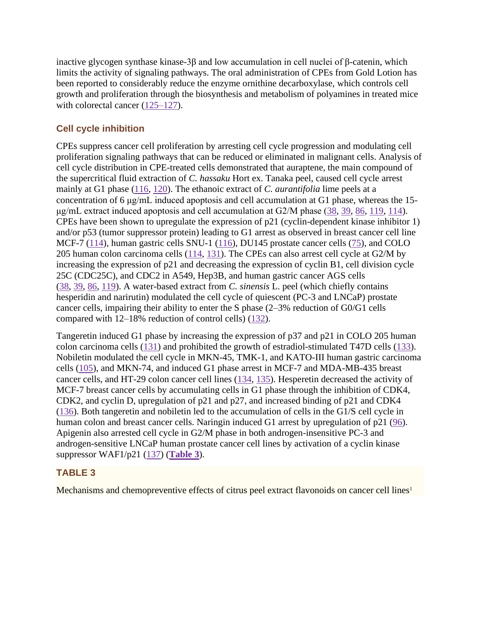inactive glycogen synthase kinase-3β and low accumulation in cell nuclei of β-catenin, which limits the activity of signaling pathways. The oral administration of CPEs from Gold Lotion has been reported to considerably reduce the enzyme ornithine decarboxylase, which controls cell growth and proliferation through the biosynthesis and metabolism of polyamines in treated mice with colorectal cancer [\(125–127\)](https://www.ncbi.nlm.nih.gov/pmc/articles/PMC7199889/#bib110).

# **Cell cycle inhibition**

CPEs suppress cancer cell proliferation by arresting cell cycle progression and modulating cell proliferation signaling pathways that can be reduced or eliminated in malignant cells. Analysis of cell cycle distribution in CPE-treated cells demonstrated that auraptene, the main compound of the supercritical fluid extraction of *C. hassaku* Hort ex. Tanaka peel, caused cell cycle arrest mainly at G1 phase [\(116,](https://www.ncbi.nlm.nih.gov/pmc/articles/PMC7199889/#bib108) [120\)](https://www.ncbi.nlm.nih.gov/pmc/articles/PMC7199889/#bib116). The ethanoic extract of *C. aurantifolia* lime peels at a concentration of 6 μg/mL induced apoptosis and cell accumulation at G1 phase, whereas the 15 μg/mL extract induced apoptosis and cell accumulation at G2/M phase [\(38,](https://www.ncbi.nlm.nih.gov/pmc/articles/PMC7199889/#bib38) [39,](https://www.ncbi.nlm.nih.gov/pmc/articles/PMC7199889/#bib39) [86,](https://www.ncbi.nlm.nih.gov/pmc/articles/PMC7199889/#bib86) [119,](https://www.ncbi.nlm.nih.gov/pmc/articles/PMC7199889/#bib106) [114\)](https://www.ncbi.nlm.nih.gov/pmc/articles/PMC7199889/#bib109). CPEs have been shown to upregulate the expression of p21 (cyclin-dependent kinase inhibitor 1) and/or p53 (tumor suppressor protein) leading to G1 arrest as observed in breast cancer cell line MCF-7 [\(114\)](https://www.ncbi.nlm.nih.gov/pmc/articles/PMC7199889/#bib109), human gastric cells SNU-1 [\(116\)](https://www.ncbi.nlm.nih.gov/pmc/articles/PMC7199889/#bib108), DU145 prostate cancer cells [\(75\)](https://www.ncbi.nlm.nih.gov/pmc/articles/PMC7199889/#bib75), and COLO 205 human colon carcinoma cells [\(114,](https://www.ncbi.nlm.nih.gov/pmc/articles/PMC7199889/#bib109) [131\)](https://www.ncbi.nlm.nih.gov/pmc/articles/PMC7199889/#bib117). The CPEs can also arrest cell cycle at G2/M by increasing the expression of p21 and decreasing the expression of cyclin B1, cell division cycle 25C (CDC25C), and CDC2 in A549, Hep3B, and human gastric cancer AGS cells [\(38,](https://www.ncbi.nlm.nih.gov/pmc/articles/PMC7199889/#bib38) [39,](https://www.ncbi.nlm.nih.gov/pmc/articles/PMC7199889/#bib39) [86,](https://www.ncbi.nlm.nih.gov/pmc/articles/PMC7199889/#bib86) [119\)](https://www.ncbi.nlm.nih.gov/pmc/articles/PMC7199889/#bib106). A water-based extract from *C. sinensis* L. peel (which chiefly contains hesperidin and narirutin) modulated the cell cycle of quiescent (PC-3 and LNCaP) prostate cancer cells, impairing their ability to enter the S phase (2–3% reduction of G0/G1 cells compared with  $12-18\%$  reduction of control cells) [\(132\)](https://www.ncbi.nlm.nih.gov/pmc/articles/PMC7199889/#bib118).

Tangeretin induced G1 phase by increasing the expression of p37 and p21 in COLO 205 human colon carcinoma cells [\(131\)](https://www.ncbi.nlm.nih.gov/pmc/articles/PMC7199889/#bib117) and prohibited the growth of estradiol-stimulated T47D cells [\(133\)](https://www.ncbi.nlm.nih.gov/pmc/articles/PMC7199889/#bib119). Nobiletin modulated the cell cycle in MKN-45, TMK-1, and KATO-III human gastric carcinoma cells [\(105\)](https://www.ncbi.nlm.nih.gov/pmc/articles/PMC7199889/#bib105), and MKN-74, and induced G1 phase arrest in MCF-7 and MDA-MB-435 breast cancer cells, and HT-29 colon cancer cell lines [\(134,](https://www.ncbi.nlm.nih.gov/pmc/articles/PMC7199889/#bib120) [135\)](https://www.ncbi.nlm.nih.gov/pmc/articles/PMC7199889/#bib121). Hesperetin decreased the activity of MCF-7 breast cancer cells by accumulating cells in G1 phase through the inhibition of CDK4, CDK2, and cyclin D, upregulation of p21 and p27, and increased binding of p21 and CDK4 [\(136\)](https://www.ncbi.nlm.nih.gov/pmc/articles/PMC7199889/#bib122). Both tangeretin and nobiletin led to the accumulation of cells in the G1/S cell cycle in human colon and breast cancer cells. Naringin induced G1 arrest by upregulation of p21 [\(96\)](https://www.ncbi.nlm.nih.gov/pmc/articles/PMC7199889/#bib96). Apigenin also arrested cell cycle in G2/M phase in both androgen-insensitive PC-3 and androgen-sensitive LNCaP human prostate cancer cell lines by activation of a cyclin kinase suppressor WAF1/p21 [\(137\)](https://www.ncbi.nlm.nih.gov/pmc/articles/PMC7199889/#bib123) (**[Table 3](https://www.ncbi.nlm.nih.gov/pmc/articles/PMC7199889/table/tbl3/)**).

# **TABLE 3**

Mechanisms and chemopreventive effects of citrus peel extract flavonoids on cancer cell lines<sup>1</sup>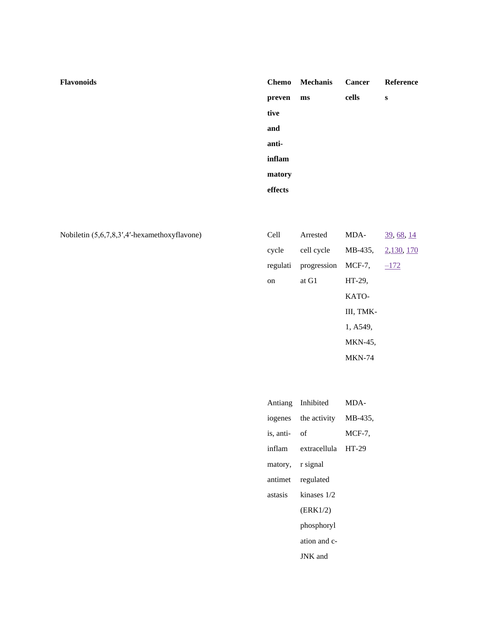| Flavonoids |         | Chemo Mechanis | <b>Cancer</b> | Reference |
|------------|---------|----------------|---------------|-----------|
|            | preven  | ms             | cells         | ${\bf S}$ |
|            | tive    |                |               |           |
|            | and     |                |               |           |
|            | anti-   |                |               |           |
|            | inflam  |                |               |           |
|            | matory  |                |               |           |
|            | effects |                |               |           |
|            |         |                |               |           |

Nobiletin (5,6,7,8,3',4'-hexamethoxyflavone)

| Cell     | Arrested    | MDA-           | 39, 68, 14 |
|----------|-------------|----------------|------------|
| cycle    | cell cycle  | MB-435,        | 2,130, 170 |
| regulati | progression | $MCF-7$ .      | $-172$     |
| on       | at G1       | HT-29.         |            |
|          |             | KATO-          |            |
|          |             | III, TMK-      |            |
|          |             | 1, A549,       |            |
|          |             | <b>MKN-45.</b> |            |
|          |             | <b>MKN-74</b>  |            |

|                  | Antiang Inhibited MDA-       |        |
|------------------|------------------------------|--------|
|                  | iogenes the activity MB-435, |        |
| is, anti- of     |                              | MCF-7, |
|                  | inflam extracellula HT-29    |        |
| matory, r signal |                              |        |
|                  | antimet regulated            |        |
| astasis          | kinases $1/2$                |        |
|                  | (ERK1/2)                     |        |
|                  | phosphoryl                   |        |
|                  | ation and c-                 |        |
|                  | JNK and                      |        |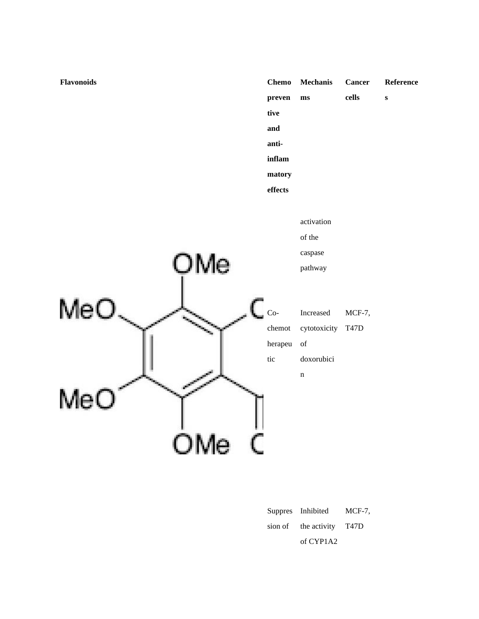

|  | Suppres Inhibited         | $MCF-7$ . |
|--|---------------------------|-----------|
|  | sion of the activity T47D |           |
|  | of CYP1A2                 |           |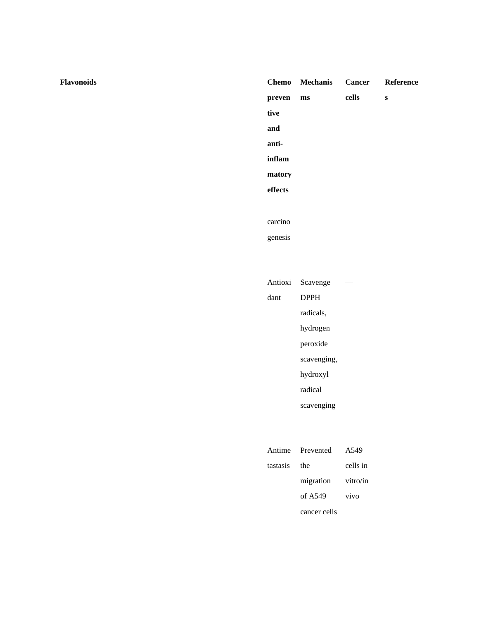# Chemo Mechanis **Cancer** Reference  $\mbox{cells}$ preven  $\mathbf{m}\mathbf{s}$  $\bf{s}$ tive and antiinflam matory effects carcino genesis Antioxi Scavenge  $\sim$

|      | $\frac{1}{2}$ |
|------|---------------|
| dant | <b>DPPH</b>   |
|      | radicals,     |
|      | hydrogen      |
|      | peroxide      |
|      | scavenging,   |
|      | hydroxyl      |
|      | radical       |
|      | scavenging    |

|          | Antime Prevented   | A549     |
|----------|--------------------|----------|
| tastasis | the                | cells in |
|          | migration vitro/in |          |
|          | of A549            | vivo     |
|          | cancer cells       |          |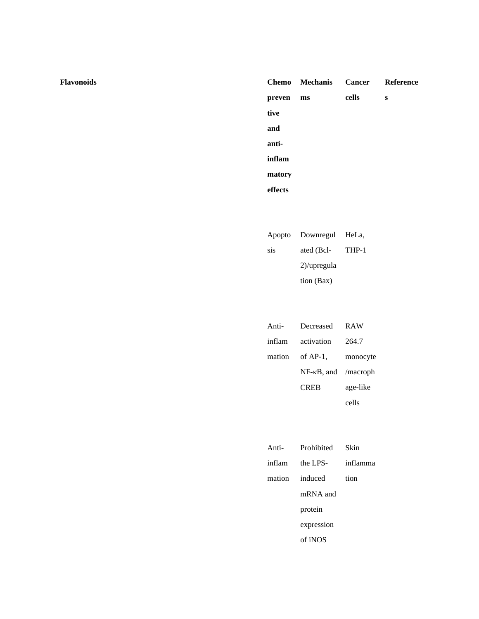**Flavonoids Chemo**

|         | Chemo Mechanis Cancer Reference |       |   |
|---------|---------------------------------|-------|---|
| preven  | ms                              | cells | s |
| tive    |                                 |       |   |
| and     |                                 |       |   |
| anti-   |                                 |       |   |
| inflam  |                                 |       |   |
| matory  |                                 |       |   |
| effects |                                 |       |   |

|     | Apopto Downregul HeLa, |       |
|-----|------------------------|-------|
| sis | ated (Bcl-             | THP-1 |
|     | $2)$ /upregula         |       |
|     | tion (Bax)             |       |

| Anti-  | Decreased                       | <b>RAW</b> |
|--------|---------------------------------|------------|
| inflam | activation                      | 264.7      |
| mation | of $AP-1$ .                     | monocyte   |
|        | $NF$ - $\kappa$ B, and /macroph |            |
|        | <b>CREB</b>                     | age-like   |
|        |                                 | cells      |

| Anti-          | Prohibited | Skin     |
|----------------|------------|----------|
| inflam         | the LPS-   | inflamma |
| mation induced |            | tion     |
|                | mRNA and   |          |
|                | protein    |          |
|                | expression |          |
|                | of iNOS    |          |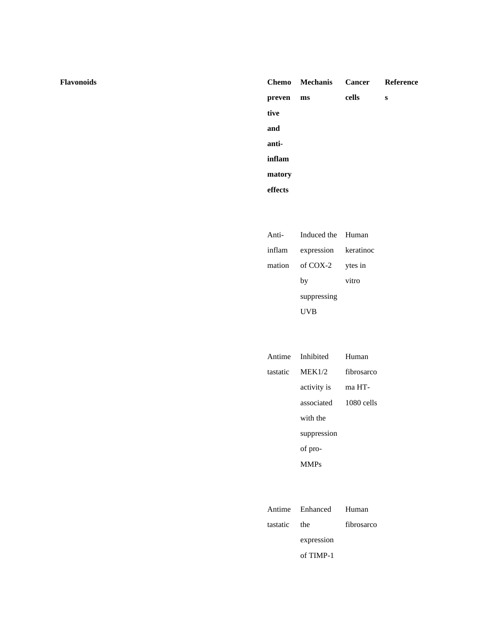#### **preven tive and antiinflam matory effects** Chemo Mechanis **ms Cancer cells Reference s**

| Anti- | Induced the Human           |         |
|-------|-----------------------------|---------|
|       | inflam expression keratinoc |         |
|       | mation of COX-2             | ytes in |
|       | by                          | vitro   |
|       | suppressing                 |         |
|       | 'VВ                         |         |

|          | Antime Inhibited | Human        |
|----------|------------------|--------------|
| tastatic | MEK1/2           | fibrosarco   |
|          | activity is      | ma HT-       |
|          | associated       | $1080$ cells |
|          | with the         |              |
|          | suppression      |              |
|          | of pro-          |              |
|          | <b>MMPs</b>      |              |

|              | Antime Enhanced Human |            |
|--------------|-----------------------|------------|
| tastatic the |                       | fibrosarco |
|              | expression            |            |
|              | of $TIME-1$           |            |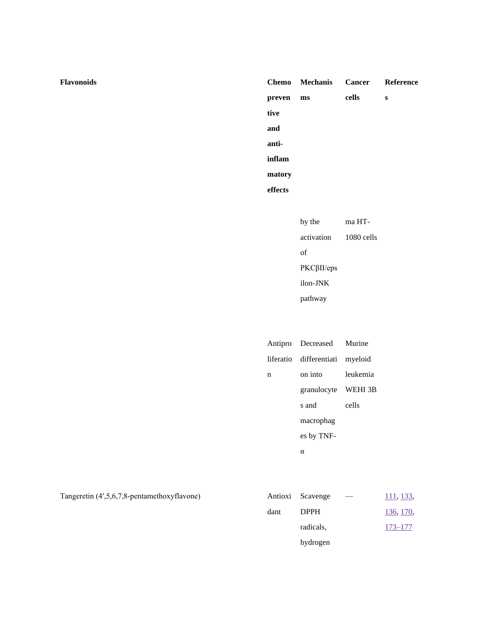|         | Chemo Mechanis |       | Cancer Reference |
|---------|----------------|-------|------------------|
| preven  | ms             | cells | s                |
| tive    |                |       |                  |
| and     |                |       |                  |
| anti-   |                |       |                  |
| inflam  |                |       |                  |
| matory  |                |       |                  |
| effects |                |       |                  |

| by the             | ma HT-     |
|--------------------|------------|
| activation         | 1080 cells |
| of                 |            |
| $PKC\beta II$ /eps |            |
| ilon-JNK           |            |
| pathway            |            |

|   | Antipro Decreased Murine        |          |
|---|---------------------------------|----------|
|   | liferatio differentiati myeloid |          |
| n | on into                         | leukemia |
|   | granulocyte WEHI 3B             |          |
|   | s and                           | cells    |
|   | macrophag                       |          |
|   | es by TNF-                      |          |
|   | α                               |          |

Tangeretin (4',5,6,7,8-pentamethoxyflavone)

|      | Antioxi Scavenge | __ | 111, 133,   |
|------|------------------|----|-------------|
| dant | <b>DPPH</b>      |    | 136, 170,   |
|      | radicals,        |    | $173 - 177$ |
|      | hydrogen         |    |             |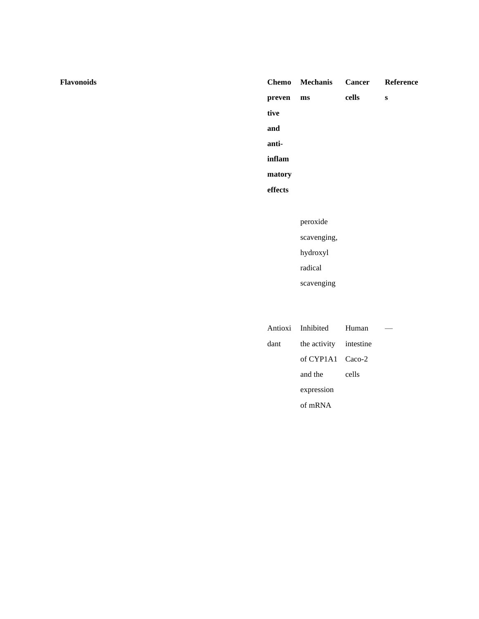## Chemo **Mechanis Cancer** Reference  $\mbox{cells}$ preven  $\mathbf{m}\mathbf{s}$  $\bf{s}$ tive and antiinflam matory effects peroxide scavenging,

hydroxyl  $\operatorname{radical}$ 

scavenging

|      | Antioxi Inhibited Human |       |  |
|------|-------------------------|-------|--|
| dant | the activity intestine  |       |  |
|      | of $CYP1A1$ $Caco-2$    |       |  |
|      | and the                 | cells |  |
|      | expression              |       |  |
|      | of $mRNA$               |       |  |
|      |                         |       |  |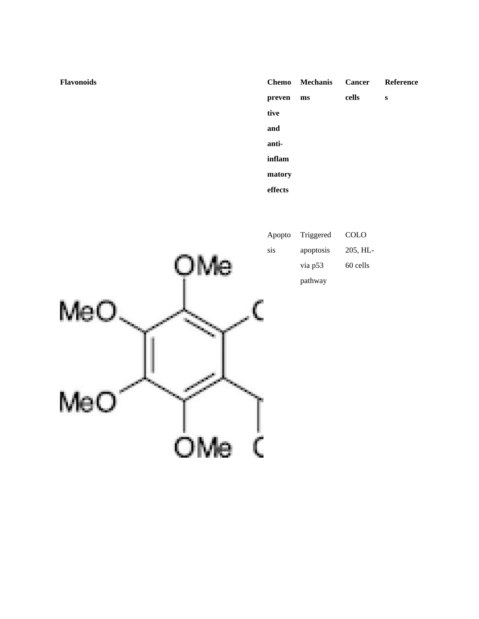|         | <b>Chemo</b> Mechanis |       | <b>Cancer</b> Reference |
|---------|-----------------------|-------|-------------------------|
| preven  | ms                    | cells | s                       |
| tive    |                       |       |                         |
| and     |                       |       |                         |
| anti-   |                       |       |                         |
| inflam  |                       |       |                         |
| matory  |                       |       |                         |
| effects |                       |       |                         |



Apopto Triggered COLO sis apoptosis 205, HLvia p53 60 cells  $\mathop{\mathrm{pathway}}$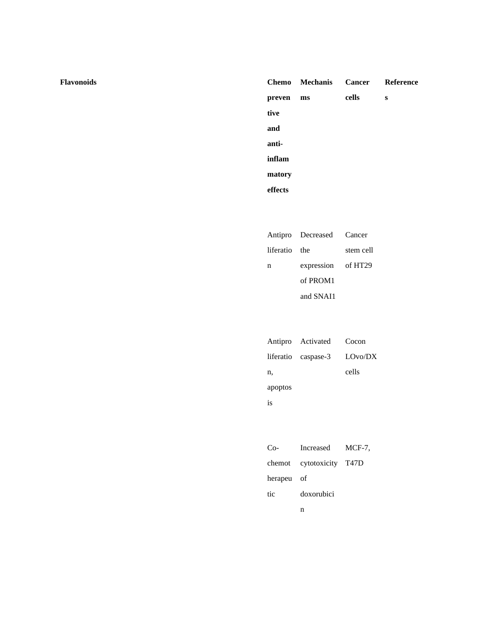|         | Chemo Mechanis Cancer Reference |       |   |
|---------|---------------------------------|-------|---|
| preven  | ms                              | cells | S |
| tive    |                                 |       |   |
| and     |                                 |       |   |
| anti-   |                                 |       |   |
| inflam  |                                 |       |   |
| matory  |                                 |       |   |
| effects |                                 |       |   |

|               | Antipro Decreased Cancer |           |
|---------------|--------------------------|-----------|
| liferatio the |                          | stem cell |
| n             | expression of HT29       |           |
|               | of PROM <sub>1</sub>     |           |
|               | and SNAI1                |           |

|         | Antipro Activated Cocon       |       |
|---------|-------------------------------|-------|
|         | liferatio caspase-3 $LOvo/DX$ |       |
| n.      |                               | cells |
| apoptos |                               |       |
| 18      |                               |       |

| $Co-$      | Increased MCF-7,         |  |
|------------|--------------------------|--|
|            | chemot cytotoxicity T47D |  |
| herapeu of |                          |  |
| tic        | doxorubici               |  |
|            | n                        |  |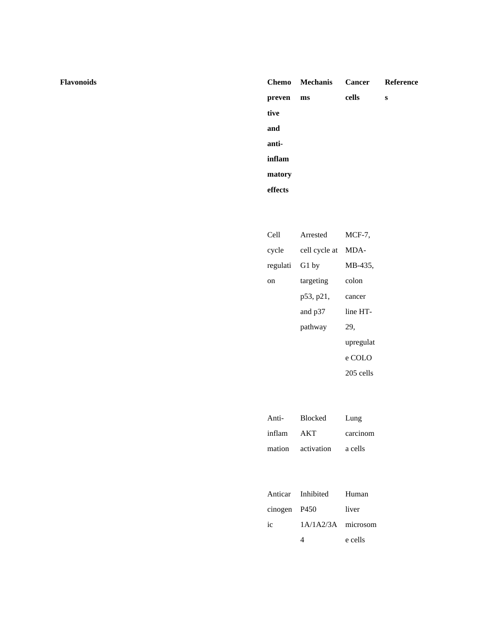|         | Chemo Mechanis Cancer Reference |       |   |
|---------|---------------------------------|-------|---|
| preven  | ms                              | cells | s |
| tive    |                                 |       |   |
| and     |                                 |       |   |
| anti-   |                                 |       |   |
| inflam  |                                 |       |   |
| matory  |                                 |       |   |
| effects |                                 |       |   |

| Cell     | Arrested      | MCF-7.    |
|----------|---------------|-----------|
| cycle    | cell cycle at | MDA-      |
| regulati | G1 by         | MB-435,   |
| on       | targeting     | colon     |
|          | p53, p21,     | cancer    |
|          | and p37       | line HT-  |
|          | pathway       | 29,       |
|          |               | upregulat |
|          |               | e COLO    |
|          |               | 205 cells |

| Anti-      | <b>Blocked</b>    | Lung     |
|------------|-------------------|----------|
| inflam AKT |                   | carcinom |
|            | mation activation | a cells  |

|              | Anticar Inhibited Human |         |
|--------------|-------------------------|---------|
| cinogen P450 |                         | liver   |
| ic           | 1A/1A2/3A microsom      |         |
|              |                         | e cells |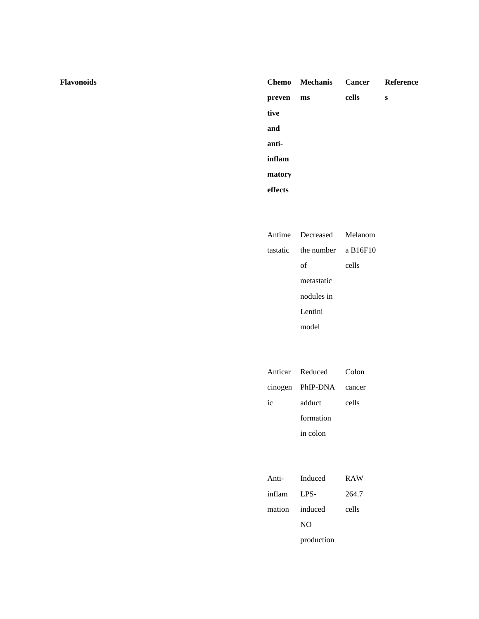#### **preven tive and antiinflam matory effects** Chemo Mechanis **ms Cancer cells Reference s**

| Antime Decreased Melanom       |       |
|--------------------------------|-------|
| tastatic the number a $B16F10$ |       |
| οf                             | cells |
| metastatic                     |       |
| nodules in                     |       |
| Lentini                        |       |
| model                          |       |

|    | Anticar Reduced         | Colon |
|----|-------------------------|-------|
|    | cinogen PhIP-DNA cancer |       |
| ic | adduct                  | cells |
|    | formation               |       |
|    | in colon                |       |
|    |                         |       |

| Anti-  | Induced        | <b>RAW</b> |
|--------|----------------|------------|
| inflam | LPS-           | 264.7      |
|        | mation induced | cells      |
|        | NO.            |            |
|        | production     |            |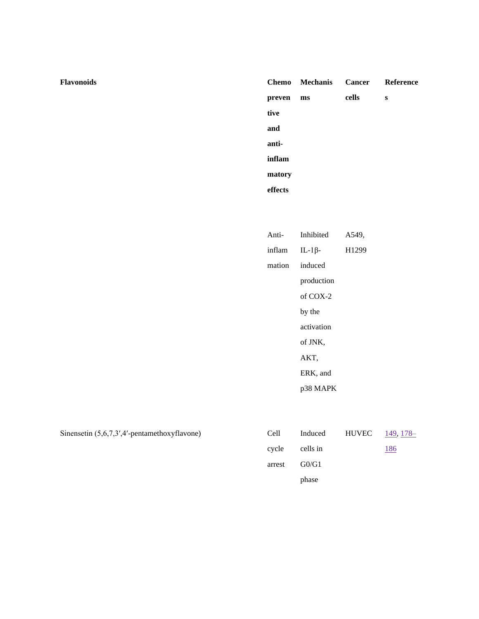| <b>Flavonoids</b> | <b>Chemo</b> |
|-------------------|--------------|
|                   |              |

|         | Chemo Mechanis | Cancer Reference |   |
|---------|----------------|------------------|---|
| preven  | ms             | cells            | S |
| tive    |                |                  |   |
| and     |                |                  |   |
| anti-   |                |                  |   |
| inflam  |                |                  |   |
| matory  |                |                  |   |
| effects |                |                  |   |
|         |                |                  |   |

| Anti-  | Inhibited      | A549,             |
|--------|----------------|-------------------|
| inflam | IL-1 $\beta$ - | H <sub>1299</sub> |
| mation | induced        |                   |
|        | production     |                   |
|        | of $COX-2$     |                   |
|        | by the         |                   |
|        | activation     |                   |
|        | of JNK,        |                   |
|        | AKT,           |                   |
|        | ERK, and       |                   |
|        | p38 MAPK       |                   |
|        |                |                   |

| Sinensetin $(5,6,7,3',4'$ -pentamethoxyflavone) | Cell   | Induced  | HUVEC | <u>149, 178–</u> |
|-------------------------------------------------|--------|----------|-------|------------------|
|                                                 | cycle  | cells in |       | <u> 186</u>      |
|                                                 | arrest | G0/G1    |       |                  |
|                                                 |        | phase    |       |                  |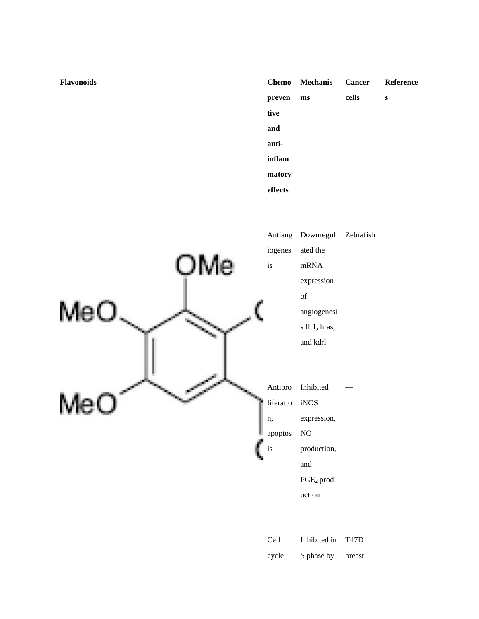|         | <b>Chemo</b> Mechanis |       | Cancer Reference |
|---------|-----------------------|-------|------------------|
| preven  | ms                    | cells | s                |
| tive    |                       |       |                  |
| and     |                       |       |                  |
| anti-   |                       |       |                  |
| inflam  |                       |       |                  |
| matory  |                       |       |                  |
| effects |                       |       |                  |



| Cell  | Inhibited in | <b>T47D</b> |
|-------|--------------|-------------|
| cycle | S phase by   | breast      |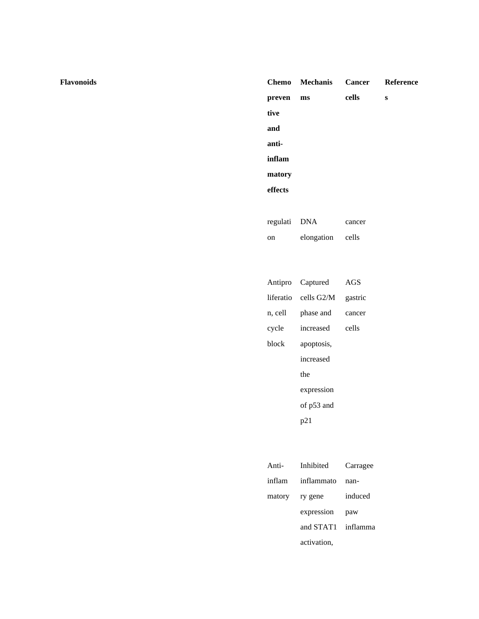**Flavonoids Chemo**

## **preven tive and antiinflam matory effects Mechanis ms Cancer cells Reference s** regulati DNA cancer

cells

|         | Antipro Captured     | AGS     |
|---------|----------------------|---------|
|         | liferatio cells G2/M | gastric |
| n, cell | phase and            | cancer  |
| cycle   | increased            | cells   |
| block   | apoptosis,           |         |
|         | increased            |         |
|         | the                  |         |
|         | expression           |         |
|         | of p53 and           |         |
|         | p21                  |         |

elongation

on

| Anti- | Inhibited          | Carragee |
|-------|--------------------|----------|
|       | inflam inflammato  | nan-     |
|       | matory ry gene     | induced  |
|       | expression         | paw      |
|       | and STAT1 inflamma |          |
|       | activation,        |          |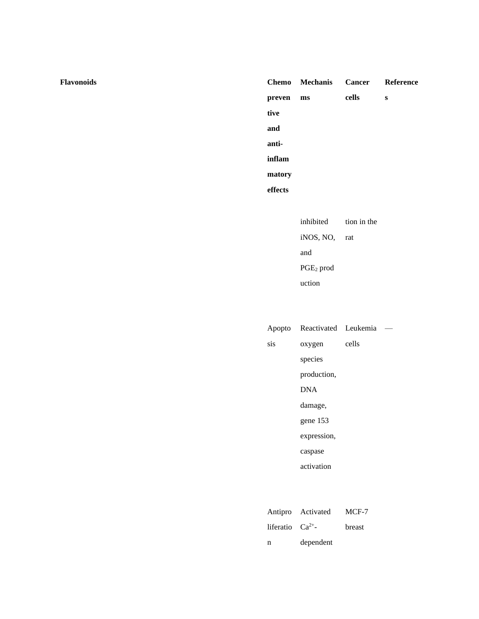|         | <b>Chemo</b> Mechanis | <b>Cancer</b> Reference |   |
|---------|-----------------------|-------------------------|---|
| preven  | ms                    | cells                   | S |
| tive    |                       |                         |   |
| and     |                       |                         |   |
| anti-   |                       |                         |   |
| inflam  |                       |                         |   |
| matory  |                       |                         |   |
| effects |                       |                         |   |
|         |                       |                         |   |

inhibited tion in the iNOS, NO, rat and  $\overline{\text{PGE}_2}$  prod uction

|     | Apopto Reactivated Leukemia |       |  |
|-----|-----------------------------|-------|--|
| sis | oxygen                      | cells |  |
|     | species                     |       |  |
|     | production,                 |       |  |
|     | <b>DNA</b>                  |       |  |
|     | damage,                     |       |  |
|     | gene 153                    |       |  |
|     | expression,                 |       |  |
|     | caspase                     |       |  |
|     | activation                  |       |  |
|     |                             |       |  |
|     |                             |       |  |

|                     | Antipro Activated | MCF-7  |
|---------------------|-------------------|--------|
| liferatio $Ca^{2+}$ |                   | breast |
| n                   | dependent         |        |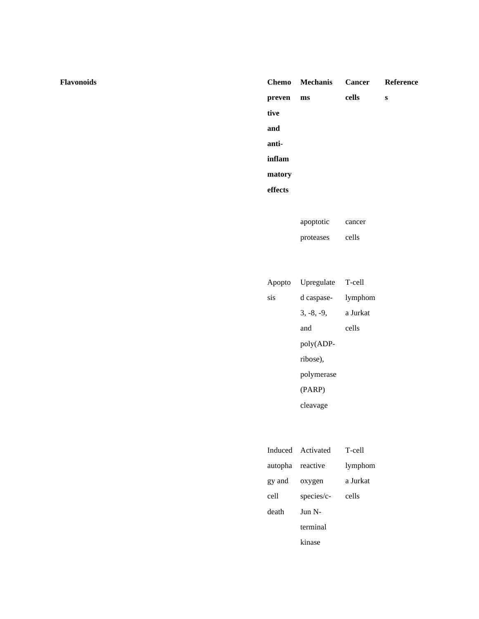**Flavonoids Chemo**

### **preven tive and antiinflam matory effects Mechanis ms Cancer cells Reference s**

apoptotic proteases cancer cells

|     | Apopto Upregulate | T-cell   |
|-----|-------------------|----------|
| sis | d caspase-        | lymphom  |
|     | $3, -8, -9,$      | a Jurkat |
|     | and               | cells    |
|     | poly(ADP-         |          |
|     | ribose).          |          |
|     | polymerase        |          |
|     | (PARP)            |          |
|     | cleavage          |          |

|                  | Induced Activated      | T-cell   |
|------------------|------------------------|----------|
| autopha reactive |                        | lymphom  |
| gy and           | oxygen                 | a Jurkat |
| cell             | species/c-             | cells    |
| death            | $\text{Jun} \text{ N}$ |          |
|                  | terminal               |          |
|                  | kinase                 |          |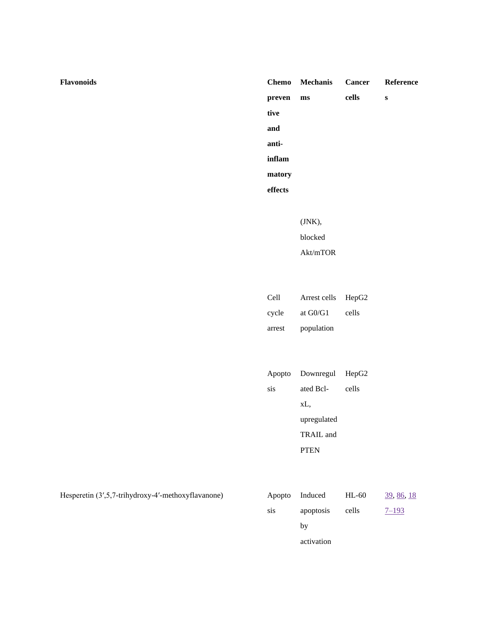| Chemo   | <b>Mechanis</b>        | <b>Cancer</b> | Reference |
|---------|------------------------|---------------|-----------|
| preven  | $\mathbf{m}\mathbf{s}$ | cells         | ${\bf S}$ |
| tive    |                        |               |           |
| and     |                        |               |           |
| anti-   |                        |               |           |
| inflam  |                        |               |           |
| matory  |                        |               |           |
| effects |                        |               |           |
|         |                        |               |           |
|         | (JNK),                 |               |           |
|         | blocked                |               |           |
|         | Akt/mTOR               |               |           |
|         |                        |               |           |
|         |                        |               |           |
| Cell    | Arrest cells           | HepG2         |           |
| cycle   | at G0/G1               | cells         |           |
| arrest  | population             |               |           |
|         |                        |               |           |
|         |                        |               |           |
| Apopto  | Downregul HepG2        |               |           |
| sis     | ated Bcl-              | cells         |           |
|         | xL,                    |               |           |
|         | upregulated            |               |           |
|         | TRAIL and              |               |           |
|         | <b>PTEN</b>            |               |           |
|         |                        |               |           |
|         |                        |               |           |
|         |                        |               |           |

Hesperetin (3',5,7-trihydroxy-4'-methoxyflavanone)

|     | Apopto Induced | $HL-60$ | 39, 86, 18 |
|-----|----------------|---------|------------|
| sis | apoptosis      | cells   | $7 - 193$  |
|     | by             |         |            |
|     | activation     |         |            |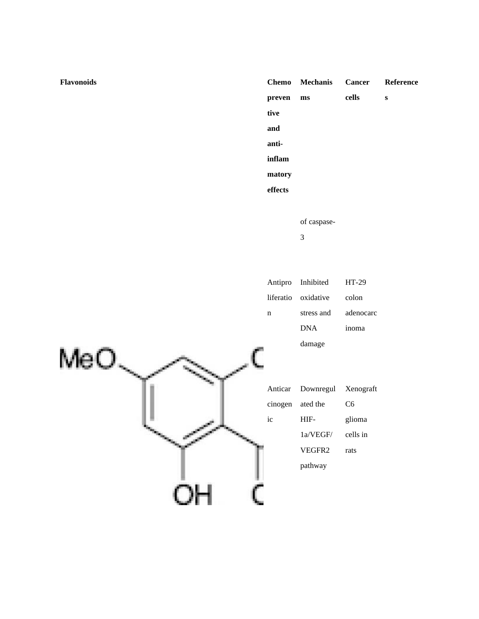| <b>Flavonoids</b>      | <b>Chemo</b> | <b>Mechanis</b>             | <b>Cancer</b> | Reference |
|------------------------|--------------|-----------------------------|---------------|-----------|
|                        | preven       | $\mathbf{m}$ s              | cells         | ${\bf S}$ |
|                        | tive         |                             |               |           |
|                        | and          |                             |               |           |
|                        | anti-        |                             |               |           |
|                        | inflam       |                             |               |           |
|                        | matory       |                             |               |           |
|                        | effects      |                             |               |           |
|                        |              |                             |               |           |
|                        |              | of caspase-                 |               |           |
|                        |              | $\ensuremath{\mathfrak{Z}}$ |               |           |
|                        |              |                             |               |           |
|                        |              |                             |               |           |
|                        | Antipro      | Inhibited                   | $HT-29$       |           |
|                        | liferatio    | oxidative                   | colon         |           |
|                        | $\mathbf n$  | stress and                  | adenocarc     |           |
|                        |              | $\rm DNA$                   | inoma         |           |
|                        |              | damage                      |               |           |
| $MeO_{\smallsetminus}$ |              |                             |               |           |
|                        | Anticar      | Downregul                   | Xenograft     |           |
|                        | cinogen      | ated the                    | C6            |           |
|                        | ic           | HIF-                        | glioma        |           |
|                        |              | $1a/VEGF/$                  | cells in      |           |
|                        |              | VEGFR2                      | rats          |           |
|                        |              | pathway                     |               |           |
|                        |              |                             |               |           |
| OН                     |              |                             |               |           |
|                        |              |                             |               |           |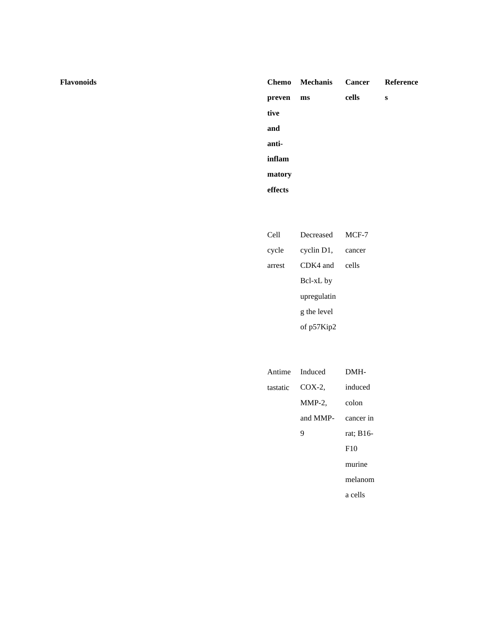**Flavonoids Chemo**

|         | Chemo Mechanis Cancer Reference |       |   |
|---------|---------------------------------|-------|---|
| preven  | ms                              | cells | s |
| tive    |                                 |       |   |
| and     |                                 |       |   |
| anti-   |                                 |       |   |
| inflam  |                                 |       |   |
| matory  |                                 |       |   |
| effects |                                 |       |   |

| Cell   | Decreased   | MCF-7  |
|--------|-------------|--------|
| cycle  | cyclin D1,  | cancer |
| arrest | CDK4 and    | cells  |
|        | Bcl-xL by   |        |
|        | upregulatin |        |
|        | g the level |        |
|        | of p57Kip2  |        |

|          | Antime Induced | DMH-      |
|----------|----------------|-----------|
| tastatic | $COX-2$        | induced   |
|          | $MMP-2$ ,      | colon     |
|          | and MMP-       | cancer in |
|          | 9              | rat; B16- |
|          |                | F10       |
|          |                | murine    |
|          |                | melanom   |
|          |                | a cells   |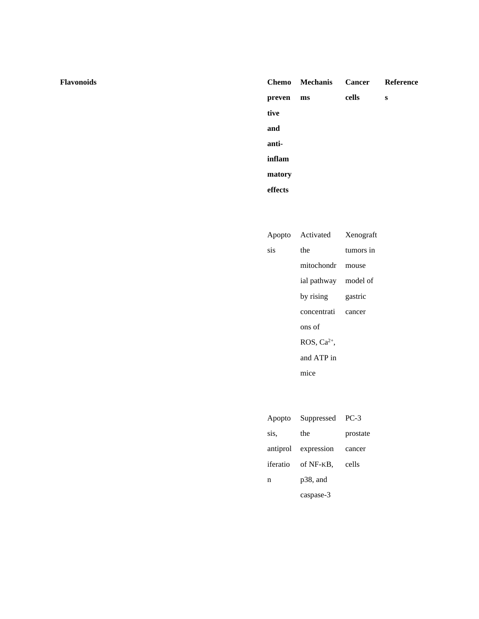|         | Chemo Mechanis Cancer Reference |       |   |
|---------|---------------------------------|-------|---|
| preven  | ms                              | cells | s |
| tive    |                                 |       |   |
| and     |                                 |       |   |
| anti-   |                                 |       |   |
| inflam  |                                 |       |   |
| matory  |                                 |       |   |
| effects |                                 |       |   |

|     | Apopto Activated Xenograft |           |
|-----|----------------------------|-----------|
| sis | the                        | tumors in |
|     | mitochondr mouse           |           |
|     | ial pathway model of       |           |
|     | by rising                  | gastric   |
|     | concentrati cancer         |           |
|     | ons of                     |           |
|     | ROS, $Ca2+$ ,              |           |
|     | and ATP in                 |           |
|     | mice                       |           |

|      | Apopto Suppressed PC-3   |          |
|------|--------------------------|----------|
| sis. | the                      | prostate |
|      | antiprol expression      | cancer   |
|      | iferatio of NF-KB, cells |          |
| n    | $p38$ , and              |          |
|      | caspase-3                |          |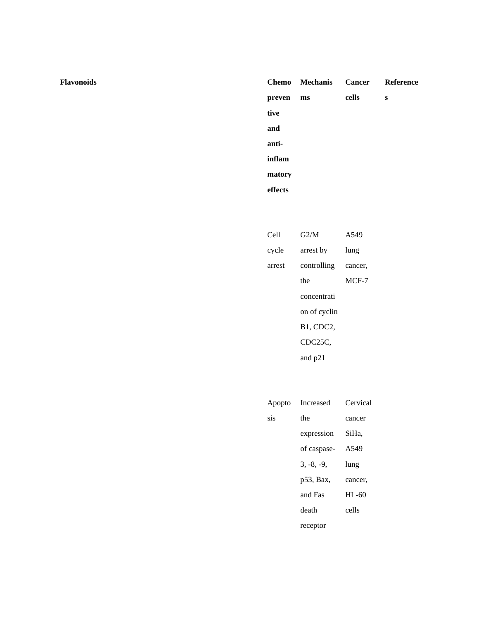#### **preven tive and antiinflam matory effects** Chemo Mechanis **ms Cancer cells Reference s**

| Cell   | G2/M             | A549    |
|--------|------------------|---------|
| cycle  | arrest by        | lung    |
| arrest | controlling      | cancer. |
|        | the              | $MCF-7$ |
|        | concentrati      |         |
|        | on of cyclin     |         |
|        | <b>B1, CDC2,</b> |         |
|        | CDC25C,          |         |
|        | and p21          |         |

|     | Apopto Increased | Cervical |
|-----|------------------|----------|
| sis | the              | cancer   |
|     | expression       | SiHa.    |
|     | of caspase-      | A549     |
|     | $3, -8, -9$      | lung     |
|     | p53, Bax,        | cancer,  |
|     | and Fas          | $HL-60$  |
|     | death            | cells    |
|     | receptor         |          |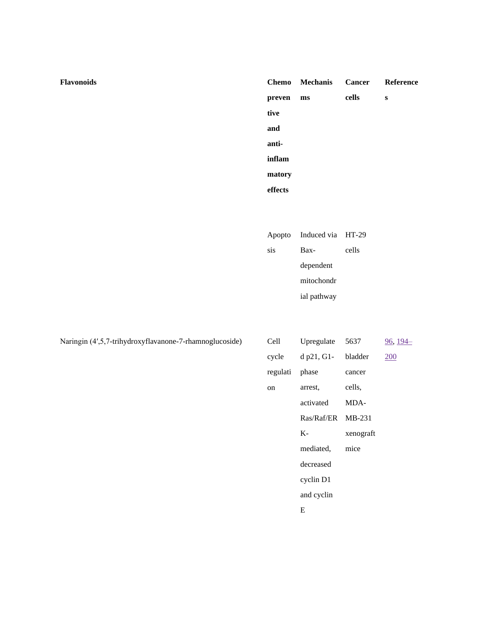|         | Chemo Mechanis Cancer Reference |       |   |
|---------|---------------------------------|-------|---|
| preven  | ms                              | cells | S |
| tive    |                                 |       |   |
| and     |                                 |       |   |
| anti-   |                                 |       |   |
| inflam  |                                 |       |   |
| matory  |                                 |       |   |
| effects |                                 |       |   |

|     | Apopto Induced via HT-29 |       |
|-----|--------------------------|-------|
| sis | Bax-                     | cells |
|     | dependent                |       |
|     | mitochondr               |       |
|     | ial pathway              |       |

| Naringin (4',5,7-trihydroxyflavanone-7-rhamnoglucoside) | Cell     | Upregulate | 5637      | $96, 194 -$ |
|---------------------------------------------------------|----------|------------|-----------|-------------|
|                                                         | cycle    | d p21, G1- | bladder   | 200         |
|                                                         | regulati | phase      | cancer    |             |
|                                                         | on       | arrest,    | cells,    |             |
|                                                         |          | activated  | MDA-      |             |
|                                                         |          | Ras/Raf/ER | MB-231    |             |
|                                                         |          | $K-$       | xenograft |             |
|                                                         |          | mediated,  | mice      |             |
|                                                         |          | decreased  |           |             |
|                                                         |          | cyclin D1  |           |             |
|                                                         |          | and cyclin |           |             |
|                                                         |          | E          |           |             |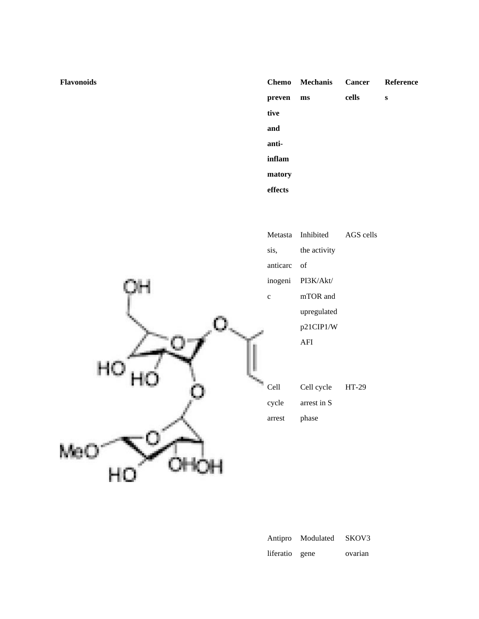|         | <b>Chemo</b> Mechanis |       | Cancer Reference |
|---------|-----------------------|-------|------------------|
| preven  | ms                    | cells | s                |
| tive    |                       |       |                  |
| and     |                       |       |                  |
| anti-   |                       |       |                  |
| inflam  |                       |       |                  |
| matory  |                       |       |                  |
| effects |                       |       |                  |



| Antipro        | Modulated | SKOV3   |
|----------------|-----------|---------|
| liferatio gene |           | ovarian |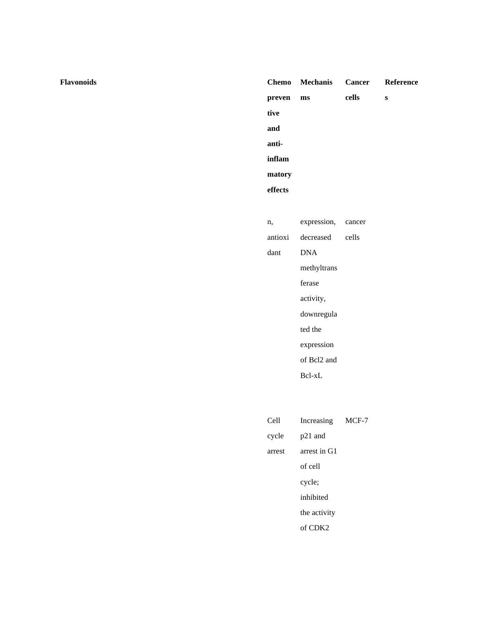## **Flavonoids Chemo preven tive and antiinflam matory effects Mechanis ms Cancer cells Reference s** n, antioxi dant expression, decreased DNA methyltrans ferase activity, downregula ted the expression of Bcl2 and Bcl-xL cancer cells

| Cell   | Increasing          | MCF-7 |
|--------|---------------------|-------|
| cycle  | p21 and             |       |
| arrest | arrest in G1        |       |
|        | of cell             |       |
|        | cycle;              |       |
|        | inhibited           |       |
|        | the activity        |       |
|        | of CDK <sub>2</sub> |       |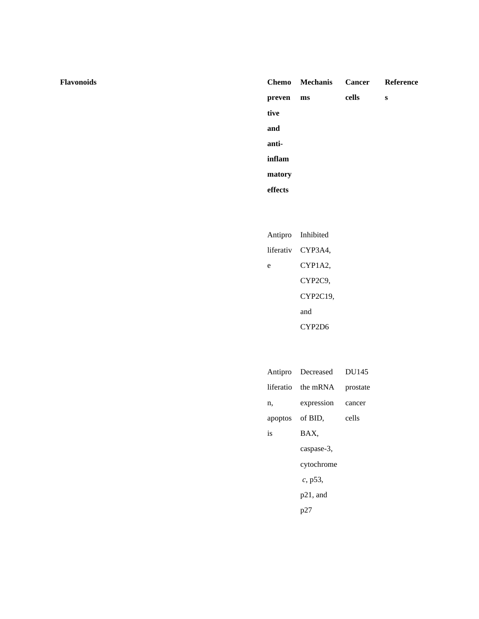#### **preven tive and antiinflam matory effects** Chemo Mechanis **ms Cancer cells Reference s**

|   | Antipro Inhibited |
|---|-------------------|
|   | liferativ CYP3A4, |
| e | CYP1A2.           |
|   | CYP2C9,           |
|   | CYP2C19.          |
|   | and               |
|   | CYP2D6            |

|                 | Antipro Decreased DU145 |          |
|-----------------|-------------------------|----------|
|                 | liferatio the mRNA      | prostate |
| n,              | expression cancer       |          |
| apoptos of BID, |                         | cells    |
| is              | BAX.                    |          |
|                 | caspase-3,              |          |
|                 | cytochrome              |          |
|                 | c, p53,                 |          |
|                 | $p21$ , and             |          |
|                 | p27                     |          |
|                 |                         |          |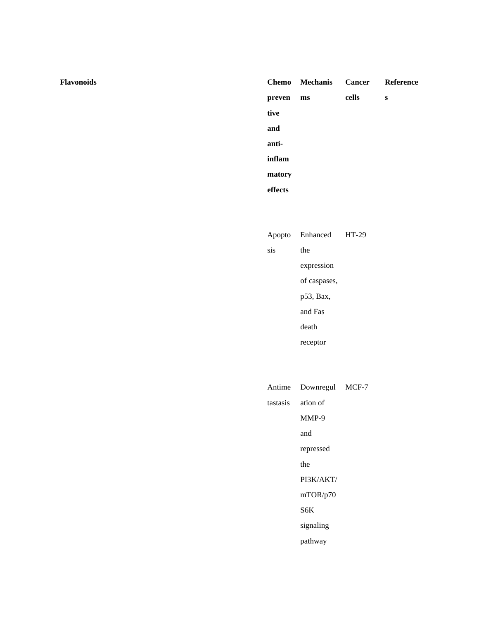|         | Chemo Mechanis Cancer Reference |       |   |
|---------|---------------------------------|-------|---|
| preven  | ms                              | cells | s |
| tive    |                                 |       |   |
| and     |                                 |       |   |
| anti-   |                                 |       |   |
| inflam  |                                 |       |   |
| matory  |                                 |       |   |
| effects |                                 |       |   |

|     | Apopto Enhanced HT-29 |  |
|-----|-----------------------|--|
| sis | the                   |  |
|     | expression            |  |
|     | of caspases,          |  |
|     | p53, Bax,             |  |
|     | and Fas               |  |
|     | death                 |  |
|     | receptor              |  |
|     |                       |  |

| Antime Downregul MCF-7 |  |
|------------------------|--|
| tastasis ation of      |  |
| MMP-9                  |  |
| and                    |  |
| repressed              |  |
| the                    |  |
| PI3K/AKT/              |  |
| mTOR/p70               |  |
| S6K                    |  |
| signaling              |  |
| pathway                |  |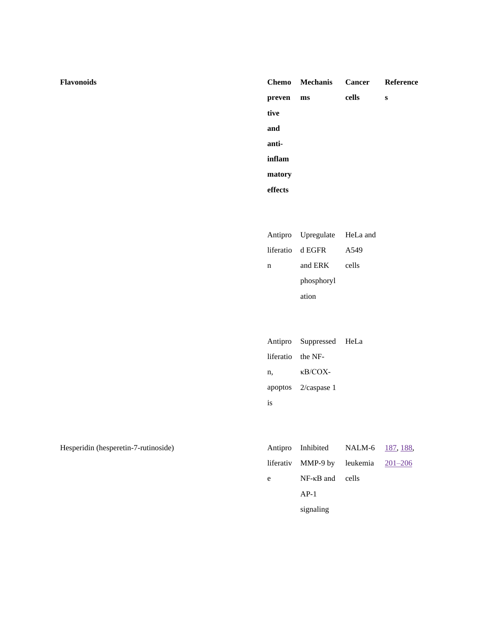|         | Chemo Mechanis Cancer Reference |       |   |
|---------|---------------------------------|-------|---|
| preven  | ms                              | cells | S |
| tive    |                                 |       |   |
| and     |                                 |       |   |
| anti-   |                                 |       |   |
| inflam  |                                 |       |   |
| matory  |                                 |       |   |
| effects |                                 |       |   |

|   | Antipro Upregulate HeLa and |                  |
|---|-----------------------------|------------------|
|   | liferatio d EGFR            | A <sub>549</sub> |
| n | and ERK                     | cells            |
|   | phosphoryl                  |                  |
|   | ation                       |                  |

|                   | Antipro Suppressed HeLa |  |
|-------------------|-------------------------|--|
| liferatio the NF- |                         |  |
| n,                | $\kappa$ B/COX-         |  |
|                   | apoptos 2/caspase 1     |  |
| <b>1S</b>         |                         |  |

Hesperidin (hesperetin-7-rutinoside)

|   | Antipro Inhibited NALM-6 187, 188,    |  |
|---|---------------------------------------|--|
|   | liferativ MMP-9 by leukemia $201-206$ |  |
| e | $NF-\kappa B$ and cells               |  |
|   | $AP-1$                                |  |
|   | signaling                             |  |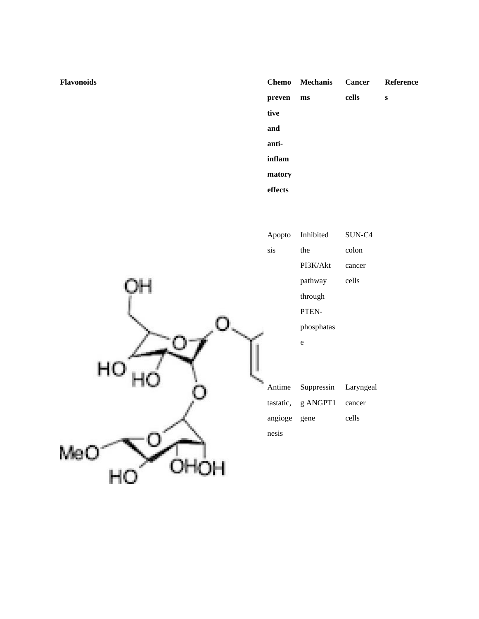|         | Chemo Mechanis Cancer Reference |       |   |
|---------|---------------------------------|-------|---|
| preven  | ms                              | cells | s |
| tive    |                                 |       |   |
| and     |                                 |       |   |
| anti-   |                                 |       |   |
| inflam  |                                 |       |   |
| matory  |                                 |       |   |
| effects |                                 |       |   |



|              | Apopto Inhibited | SUN-C4    |
|--------------|------------------|-----------|
| sis          | the              | colon     |
|              | PI3K/Akt         | cancer    |
|              | pathway          | cells     |
|              | through          |           |
|              | PTEN-            |           |
|              | phosphatas       |           |
|              | e                |           |
|              |                  |           |
|              |                  |           |
| Antime       | Suppressin       | Laryngeal |
| tastatic,    | g ANGPT1         | cancer    |
| angioge gene |                  | cells     |
| nesis        |                  |           |
|              |                  |           |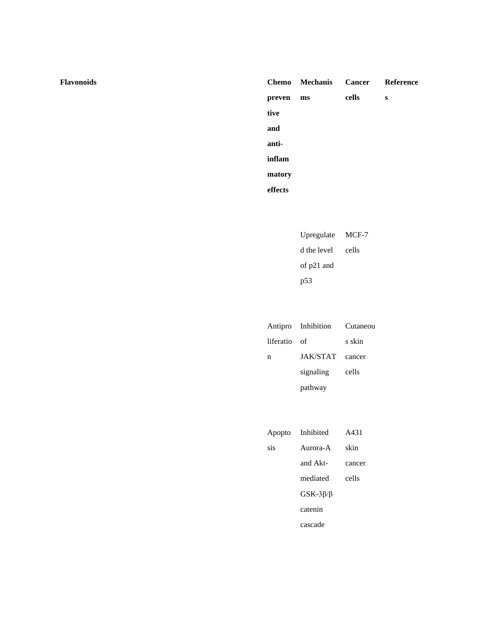**Flavonoids Chemo**

|         | Chemo Mechanis Cancer Reference |       |   |
|---------|---------------------------------|-------|---|
| preven  | ms                              | cells | s |
| tive    |                                 |       |   |
| and     |                                 |       |   |
| anti-   |                                 |       |   |
| inflam  |                                 |       |   |
| matory  |                                 |       |   |
| effects |                                 |       |   |

| Upregulate  | MCF-7 |
|-------------|-------|
| d the level | cells |
| of p21 and  |       |
| p53         |       |

|              | Antipro Inhibition | Cutaneou |
|--------------|--------------------|----------|
| liferatio of |                    | s skin   |
| n            | JAK/STAT           | cancer   |
|              | signaling          | cells    |
|              | pathway            |          |

|     | Apopto Inhibited   | A431   |
|-----|--------------------|--------|
| sis | Aurora-A           | skin   |
|     | and Akt-           | cancer |
|     | mediated           | cells  |
|     | $GSK-3\beta/\beta$ |        |
|     | catenin            |        |
|     | cascade            |        |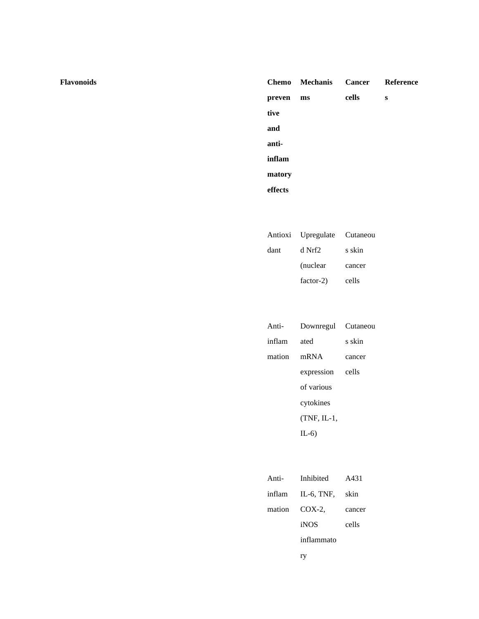|         | Chemo Mechanis Cancer Reference |       |   |
|---------|---------------------------------|-------|---|
| preven  | ms                              | cells | S |
| tive    |                                 |       |   |
| and     |                                 |       |   |
| anti-   |                                 |       |   |
| inflam  |                                 |       |   |
| matory  |                                 |       |   |
| effects |                                 |       |   |

|      | Antioxi Upregulate Cutaneou |        |
|------|-----------------------------|--------|
| dant | d Nrf2                      | s skin |
|      | (nuclear)                   | cancer |
|      | factor-2)                   | cells  |

| Anti-  | Downregul Cutaneou |        |
|--------|--------------------|--------|
| inflam | ated               | s skin |
| mation | mRNA               | cancer |
|        | expression         | cells  |
|        | of various         |        |
|        | cytokines          |        |
|        | $(TNF, IL-1,$      |        |
|        | $IL-6)$            |        |
|        |                    |        |

| Anti-  | Inhibited         | A431   |
|--------|-------------------|--------|
|        | inflam IL-6, TNF, | skin   |
| mation | $COX-2$           | cancer |
|        | iNOS              | cells  |
|        | inflammato        |        |
|        | ГŊ                |        |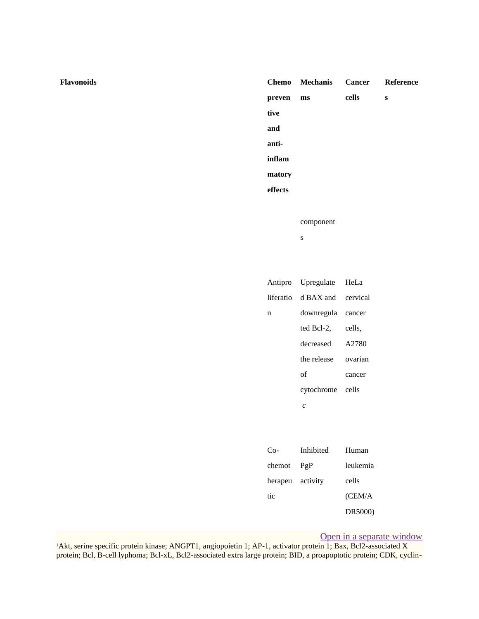## **Flavonoids Chemo preven tive and antiinflam matory effects Mechanis ms Cancer cells Reference s** component s Antipro liferatio n Upregulate d BAX and downregula ted Bcl-2, decreased the release of cytochrome *c* HeLa cervical cancer cells, A2780 ovarian cancer cells Co-Inhibited Human

| $chemot$ $PgP$   | leukemia |
|------------------|----------|
| herapeu activity | cells    |
| tic              | (CEM/A   |
|                  | DR5000)  |

## [Open in a separate window](https://www.ncbi.nlm.nih.gov/pmc/articles/PMC7199889/table/tbl3/?report=objectonly)

<sup>1</sup>Akt, serine specific protein kinase; ANGPT1, angiopoietin 1; AP-1, activator protein 1; Bax, Bcl2-associated X protein; Bcl, B-cell lyphoma; Bcl-xL, Bcl2-associated extra large protein; BID, a proapoptotic protein; CDK, cyclin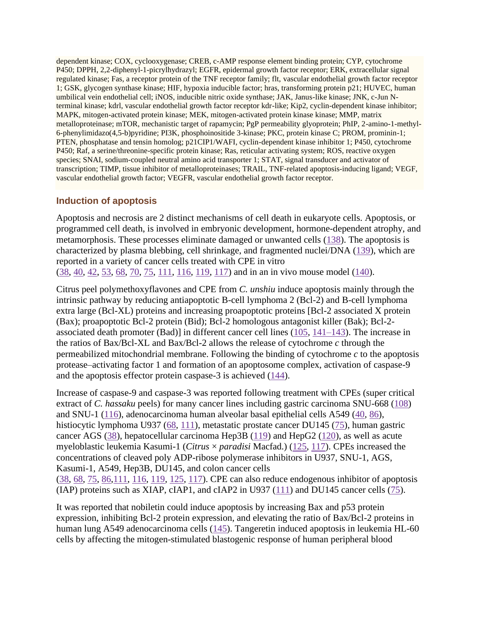dependent kinase; COX, cyclooxygenase; CREB, c-AMP response element binding protein; CYP, cytochrome P450; DPPH, 2,2-diphenyl-1-picrylhydrazyl; EGFR, epidermal growth factor receptor; ERK, extracellular signal regulated kinase; Fas, a receptor protein of the TNF receptor family; flt, vascular endothelial growth factor receptor 1; GSK, glycogen synthase kinase; HIF, hypoxia inducible factor; hras, transforming protein p21; HUVEC, human umbilical vein endothelial cell; iNOS, inducible nitric oxide synthase; JAK, Janus-like kinase; JNK, c-Jun Nterminal kinase; kdrl, vascular endothelial growth factor receptor kdr-like; Kip2, cyclin-dependent kinase inhibitor; MAPK, mitogen-activated protein kinase; MEK, mitogen-activated protein kinase kinase; MMP, matrix metalloproteinase; mTOR, mechanistic target of rapamycin; PgP permeability glyoprotein; PhIP, 2-amino-1-methyl-6-phenylimidazo(4,5-b)pyridine; PI3K, phosphoinositide 3-kinase; PKC, protein kinase C; PROM, prominin-1; PTEN, phosphatase and tensin homolog; p21CIP1/WAFI, cyclin-dependent kinase inhibitor 1; P450, cytochrome P450; Raf, a serine/threonine-specific protein kinase; Ras, reticular activating system; ROS, reactive oxygen species; SNAI, sodium-coupled neutral amino acid transporter 1; STAT, signal transducer and activator of transcription; TIMP, tissue inhibitor of metalloproteinases; TRAIL, TNF-related apoptosis-inducing ligand; VEGF, vascular endothelial growth factor; VEGFR, vascular endothelial growth factor receptor.

## **Induction of apoptosis**

Apoptosis and necrosis are 2 distinct mechanisms of cell death in eukaryote cells. Apoptosis, or programmed cell death, is involved in embryonic development, hormone-dependent atrophy, and metamorphosis. These processes eliminate damaged or unwanted cells [\(138\)](https://www.ncbi.nlm.nih.gov/pmc/articles/PMC7199889/#bib124). The apoptosis is characterized by plasma blebbing, cell shrinkage, and fragmented nuclei/DNA [\(139\)](https://www.ncbi.nlm.nih.gov/pmc/articles/PMC7199889/#bib125), which are reported in a variety of cancer cells treated with CPE in vitro [\(38,](https://www.ncbi.nlm.nih.gov/pmc/articles/PMC7199889/#bib38) [40,](https://www.ncbi.nlm.nih.gov/pmc/articles/PMC7199889/#bib40) [42,](https://www.ncbi.nlm.nih.gov/pmc/articles/PMC7199889/#bib42) [53,](https://www.ncbi.nlm.nih.gov/pmc/articles/PMC7199889/#bib53) [68,](https://www.ncbi.nlm.nih.gov/pmc/articles/PMC7199889/#bib68) [70,](https://www.ncbi.nlm.nih.gov/pmc/articles/PMC7199889/#bib70) [75,](https://www.ncbi.nlm.nih.gov/pmc/articles/PMC7199889/#bib75) [111,](https://www.ncbi.nlm.nih.gov/pmc/articles/PMC7199889/#bib107) [116,](https://www.ncbi.nlm.nih.gov/pmc/articles/PMC7199889/#bib108) [119,](https://www.ncbi.nlm.nih.gov/pmc/articles/PMC7199889/#bib106) [117\)](https://www.ncbi.nlm.nih.gov/pmc/articles/PMC7199889/#bib126) and in an in vivo mouse model [\(140\)](https://www.ncbi.nlm.nih.gov/pmc/articles/PMC7199889/#bib127).

Citrus peel polymethoxyflavones and CPE from *C. unshiu* induce apoptosis mainly through the intrinsic pathway by reducing antiapoptotic B-cell lymphoma 2 (Bcl-2) and B-cell lymphoma extra large (Bcl-XL) proteins and increasing proapoptotic proteins [Bcl-2 associated X protein (Bax); proapoptotic Bcl-2 protein (Bid); Bcl-2 homologous antagonist killer (Bak); Bcl-2 associated death promoter (Bad)] in different cancer cell lines [\(105,](https://www.ncbi.nlm.nih.gov/pmc/articles/PMC7199889/#bib105) [141–143\)](https://www.ncbi.nlm.nih.gov/pmc/articles/PMC7199889/#bib128). The increase in the ratios of Bax/Bcl-XL and Bax/Bcl-2 allows the release of cytochrome *c* through the permeabilized mitochondrial membrane. Following the binding of cytochrome *c* to the apoptosis protease–activating factor 1 and formation of an apoptosome complex, activation of caspase-9 and the apoptosis effector protein caspase-3 is achieved [\(144\)](https://www.ncbi.nlm.nih.gov/pmc/articles/PMC7199889/#bib131).

Increase of caspase-9 and caspase-3 was reported following treatment with CPEs (super critical extract of *C. hassaku* peels) for many cancer lines including gastric carcinoma SNU-668 [\(108\)](https://www.ncbi.nlm.nih.gov/pmc/articles/PMC7199889/#bib132) and SNU-1 [\(116\)](https://www.ncbi.nlm.nih.gov/pmc/articles/PMC7199889/#bib108), adenocarcinoma human alveolar basal epithelial cells A549 [\(40,](https://www.ncbi.nlm.nih.gov/pmc/articles/PMC7199889/#bib40) [86\)](https://www.ncbi.nlm.nih.gov/pmc/articles/PMC7199889/#bib86), histiocytic lymphoma U937 [\(68,](https://www.ncbi.nlm.nih.gov/pmc/articles/PMC7199889/#bib68) [111\)](https://www.ncbi.nlm.nih.gov/pmc/articles/PMC7199889/#bib107), metastatic prostate cancer DU145 [\(75\)](https://www.ncbi.nlm.nih.gov/pmc/articles/PMC7199889/#bib75), human gastric cancer AGS [\(38\)](https://www.ncbi.nlm.nih.gov/pmc/articles/PMC7199889/#bib38), hepatocellular carcinoma Hep3B [\(119\)](https://www.ncbi.nlm.nih.gov/pmc/articles/PMC7199889/#bib106) and HepG2 [\(120\)](https://www.ncbi.nlm.nih.gov/pmc/articles/PMC7199889/#bib116), as well as acute myeloblastic leukemia Kasumi-1 (*Citrus* × *paradisi* Macfad.) [\(125,](https://www.ncbi.nlm.nih.gov/pmc/articles/PMC7199889/#bib110) [117\)](https://www.ncbi.nlm.nih.gov/pmc/articles/PMC7199889/#bib126). CPEs increased the concentrations of cleaved poly ADP-ribose polymerase inhibitors in U937, SNU-1, AGS, Kasumi-1, A549, Hep3B, DU145, and colon cancer cells

[\(38,](https://www.ncbi.nlm.nih.gov/pmc/articles/PMC7199889/#bib38) [68,](https://www.ncbi.nlm.nih.gov/pmc/articles/PMC7199889/#bib68) [75,](https://www.ncbi.nlm.nih.gov/pmc/articles/PMC7199889/#bib75) [86,](https://www.ncbi.nlm.nih.gov/pmc/articles/PMC7199889/#bib86)[111,](https://www.ncbi.nlm.nih.gov/pmc/articles/PMC7199889/#bib107) [116,](https://www.ncbi.nlm.nih.gov/pmc/articles/PMC7199889/#bib108) [119,](https://www.ncbi.nlm.nih.gov/pmc/articles/PMC7199889/#bib106) [125,](https://www.ncbi.nlm.nih.gov/pmc/articles/PMC7199889/#bib110) [117\)](https://www.ncbi.nlm.nih.gov/pmc/articles/PMC7199889/#bib126). CPE can also reduce endogenous inhibitor of apoptosis (IAP) proteins such as XIAP, cIAP1, and cIAP2 in U937  $(111)$  and DU145 cancer cells  $(75)$ .

It was reported that nobiletin could induce apoptosis by increasing Bax and p53 protein expression, inhibiting Bcl-2 protein expression, and elevating the ratio of Bax/Bcl-2 proteins in human lung A549 adenocarcinoma cells [\(145\)](https://www.ncbi.nlm.nih.gov/pmc/articles/PMC7199889/#bib133). Tangeretin induced apoptosis in leukemia HL-60 cells by affecting the mitogen-stimulated blastogenic response of human peripheral blood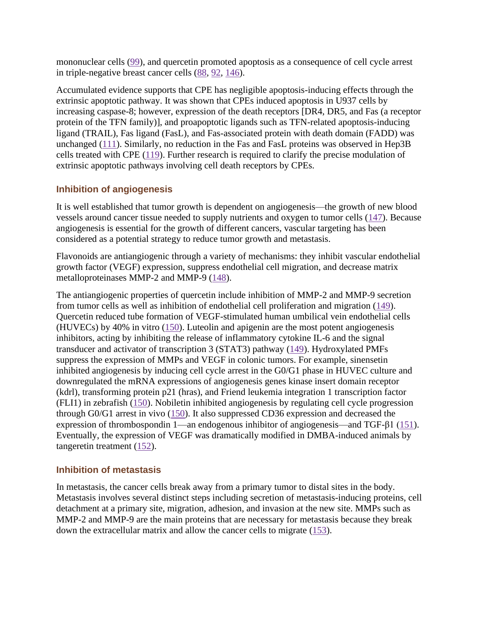mononuclear cells [\(99\)](https://www.ncbi.nlm.nih.gov/pmc/articles/PMC7199889/#bib99), and quercetin promoted apoptosis as a consequence of cell cycle arrest in triple-negative breast cancer cells [\(88,](https://www.ncbi.nlm.nih.gov/pmc/articles/PMC7199889/#bib88) [92,](https://www.ncbi.nlm.nih.gov/pmc/articles/PMC7199889/#bib92) [146\)](https://www.ncbi.nlm.nih.gov/pmc/articles/PMC7199889/#bib134).

Accumulated evidence supports that CPE has negligible apoptosis-inducing effects through the extrinsic apoptotic pathway. It was shown that CPEs induced apoptosis in U937 cells by increasing caspase-8; however, expression of the death receptors [DR4, DR5, and Fas (a receptor protein of the TFN family)], and proapoptotic ligands such as TFN-related apoptosis-inducing ligand (TRAIL), Fas ligand (FasL), and Fas-associated protein with death domain (FADD) was unchanged [\(111\)](https://www.ncbi.nlm.nih.gov/pmc/articles/PMC7199889/#bib107). Similarly, no reduction in the Fas and FasL proteins was observed in Hep3B cells treated with CPE [\(119\)](https://www.ncbi.nlm.nih.gov/pmc/articles/PMC7199889/#bib106). Further research is required to clarify the precise modulation of extrinsic apoptotic pathways involving cell death receptors by CPEs.

# **Inhibition of angiogenesis**

It is well established that tumor growth is dependent on angiogenesis—the growth of new blood vessels around cancer tissue needed to supply nutrients and oxygen to tumor cells [\(147\)](https://www.ncbi.nlm.nih.gov/pmc/articles/PMC7199889/#bib135). Because angiogenesis is essential for the growth of different cancers, vascular targeting has been considered as a potential strategy to reduce tumor growth and metastasis.

Flavonoids are antiangiogenic through a variety of mechanisms: they inhibit vascular endothelial growth factor (VEGF) expression, suppress endothelial cell migration, and decrease matrix metalloproteinases MMP-2 and MMP-9 [\(148\)](https://www.ncbi.nlm.nih.gov/pmc/articles/PMC7199889/#bib136).

The antiangiogenic properties of quercetin include inhibition of MMP-2 and MMP-9 secretion from tumor cells as well as inhibition of endothelial cell proliferation and migration [\(149\)](https://www.ncbi.nlm.nih.gov/pmc/articles/PMC7199889/#bib137). Quercetin reduced tube formation of VEGF-stimulated human umbilical vein endothelial cells (HUVECs) by 40% in vitro [\(150\)](https://www.ncbi.nlm.nih.gov/pmc/articles/PMC7199889/#bib138). Luteolin and apigenin are the most potent angiogenesis inhibitors, acting by inhibiting the release of inflammatory cytokine IL-6 and the signal transducer and activator of transcription 3 (STAT3) pathway [\(149\)](https://www.ncbi.nlm.nih.gov/pmc/articles/PMC7199889/#bib137). Hydroxylated PMFs suppress the expression of MMPs and VEGF in colonic tumors. For example, sinensetin inhibited angiogenesis by inducing cell cycle arrest in the G0/G1 phase in HUVEC culture and downregulated the mRNA expressions of angiogenesis genes kinase insert domain receptor (kdrl), transforming protein p21 (hras), and Friend leukemia integration 1 transcription factor (FLI1) in zebrafish [\(150\)](https://www.ncbi.nlm.nih.gov/pmc/articles/PMC7199889/#bib138). Nobiletin inhibited angiogenesis by regulating cell cycle progression through G0/G1 arrest in vivo [\(150\)](https://www.ncbi.nlm.nih.gov/pmc/articles/PMC7199889/#bib138). It also suppressed CD36 expression and decreased the expression of thrombospondin 1—an endogenous inhibitor of angiogenesis—and TGF-β1 [\(151\)](https://www.ncbi.nlm.nih.gov/pmc/articles/PMC7199889/#bib139). Eventually, the expression of VEGF was dramatically modified in DMBA-induced animals by tangeretin treatment [\(152\)](https://www.ncbi.nlm.nih.gov/pmc/articles/PMC7199889/#bib140).

## **Inhibition of metastasis**

In metastasis, the cancer cells break away from a primary tumor to distal sites in the body. Metastasis involves several distinct steps including secretion of metastasis-inducing proteins, cell detachment at a primary site, migration, adhesion, and invasion at the new site. MMPs such as MMP-2 and MMP-9 are the main proteins that are necessary for metastasis because they break down the extracellular matrix and allow the cancer cells to migrate [\(153\)](https://www.ncbi.nlm.nih.gov/pmc/articles/PMC7199889/#bib141).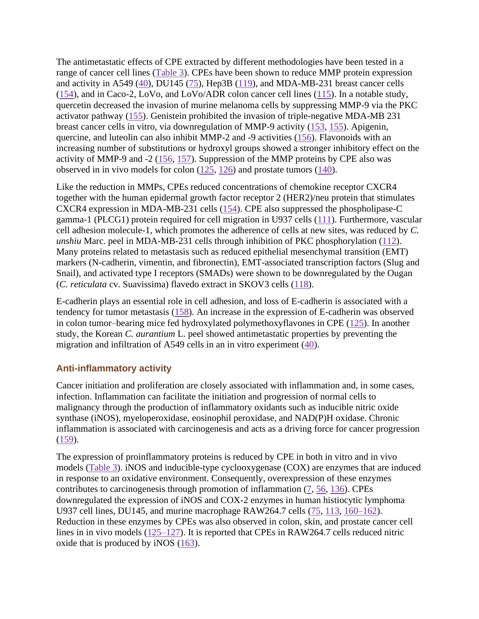The antimetastatic effects of CPE extracted by different methodologies have been tested in a range of cancer cell lines [\(Table 3\)](https://www.ncbi.nlm.nih.gov/pmc/articles/PMC7199889/table/tbl3/). CPEs have been shown to reduce MMP protein expression and activity in A549 [\(40\)](https://www.ncbi.nlm.nih.gov/pmc/articles/PMC7199889/#bib40), DU145 [\(75\)](https://www.ncbi.nlm.nih.gov/pmc/articles/PMC7199889/#bib75), Hep3B [\(119\)](https://www.ncbi.nlm.nih.gov/pmc/articles/PMC7199889/#bib106), and MDA-MB-231 breast cancer cells [\(154\)](https://www.ncbi.nlm.nih.gov/pmc/articles/PMC7199889/#bib142), and in Caco-2, LoVo, and LoVo/ADR colon cancer cell lines [\(115\)](https://www.ncbi.nlm.nih.gov/pmc/articles/PMC7199889/#bib143). In a notable study, quercetin decreased the invasion of murine melanoma cells by suppressing MMP-9 via the PKC activator pathway [\(155\)](https://www.ncbi.nlm.nih.gov/pmc/articles/PMC7199889/#bib144). Genistein prohibited the invasion of triple-negative MDA-MB 231 breast cancer cells in vitro, via downregulation of MMP-9 activity [\(153,](https://www.ncbi.nlm.nih.gov/pmc/articles/PMC7199889/#bib141) [155\)](https://www.ncbi.nlm.nih.gov/pmc/articles/PMC7199889/#bib144). Apigenin, quercine, and luteolin can also inhibit MMP-2 and -9 activities [\(156\)](https://www.ncbi.nlm.nih.gov/pmc/articles/PMC7199889/#bib145). Flavonoids with an increasing number of substitutions or hydroxyl groups showed a stronger inhibitory effect on the activity of MMP-9 and -2 [\(156,](https://www.ncbi.nlm.nih.gov/pmc/articles/PMC7199889/#bib145) [157\)](https://www.ncbi.nlm.nih.gov/pmc/articles/PMC7199889/#bib146). Suppression of the MMP proteins by CPE also was observed in in vivo models for colon  $(125, 126)$  $(125, 126)$  $(125, 126)$  and prostate tumors [\(140\)](https://www.ncbi.nlm.nih.gov/pmc/articles/PMC7199889/#bib127).

Like the reduction in MMPs, CPEs reduced concentrations of chemokine receptor CXCR4 together with the human epidermal growth factor receptor 2 (HER2)/neu protein that stimulates CXCR4 expression in MDA-MB-231 cells [\(154\)](https://www.ncbi.nlm.nih.gov/pmc/articles/PMC7199889/#bib142). CPE also suppressed the phospholipase-C gamma-1 (PLCG1) protein required for cell migration in U937 cells [\(111\)](https://www.ncbi.nlm.nih.gov/pmc/articles/PMC7199889/#bib107). Furthermore, vascular cell adhesion molecule-1, which promotes the adherence of cells at new sites, was reduced by *C. unshiu* Marc. peel in MDA-MB-231 cells through inhibition of PKC phosphorylation [\(112\)](https://www.ncbi.nlm.nih.gov/pmc/articles/PMC7199889/#bib147). Many proteins related to metastasis such as reduced epithelial mesenchymal transition (EMT) markers (N-cadherin, vimentin, and fibronectin), EMT-associated transcription factors (Slug and Snail), and activated type I receptors (SMADs) were shown to be downregulated by the Ougan (*C. reticulata* cv. Suavissima) flavedo extract in SKOV3 cells [\(118\)](https://www.ncbi.nlm.nih.gov/pmc/articles/PMC7199889/#bib148).

E-cadherin plays an essential role in cell adhesion, and loss of E-cadherin is associated with a tendency for tumor metastasis [\(158\)](https://www.ncbi.nlm.nih.gov/pmc/articles/PMC7199889/#bib149). An increase in the expression of E-cadherin was observed in colon tumor–bearing mice fed hydroxylated polymethoxyflavones in CPE [\(125\)](https://www.ncbi.nlm.nih.gov/pmc/articles/PMC7199889/#bib110). In another study, the Korean *C. aurantium* L. peel showed antimetastatic properties by preventing the migration and infiltration of A549 cells in an in vitro experiment [\(40\)](https://www.ncbi.nlm.nih.gov/pmc/articles/PMC7199889/#bib40).

## **Anti-inflammatory activity**

Cancer initiation and proliferation are closely associated with inflammation and, in some cases, infection. Inflammation can facilitate the initiation and progression of normal cells to malignancy through the production of inflammatory oxidants such as inducible nitric oxide synthase (iNOS), myeloperoxidase, eosinophil peroxidase, and NAD(P)H oxidase. Chronic inflammation is associated with carcinogenesis and acts as a driving force for cancer progression [\(159\)](https://www.ncbi.nlm.nih.gov/pmc/articles/PMC7199889/#bib150).

The expression of proinflammatory proteins is reduced by CPE in both in vitro and in vivo models [\(Table 3\)](https://www.ncbi.nlm.nih.gov/pmc/articles/PMC7199889/table/tbl3/). iNOS and inducible-type cyclooxygenase (COX) are enzymes that are induced in response to an oxidative environment. Consequently, overexpression of these enzymes contributes to carcinogenesis through promotion of inflammation [\(7,](https://www.ncbi.nlm.nih.gov/pmc/articles/PMC7199889/#bib7) [56,](https://www.ncbi.nlm.nih.gov/pmc/articles/PMC7199889/#bib56) [136\)](https://www.ncbi.nlm.nih.gov/pmc/articles/PMC7199889/#bib122). CPEs downregulated the expression of iNOS and COX-2 enzymes in human histiocytic lymphoma U937 cell lines, DU145, and murine macrophage RAW264.7 cells [\(75,](https://www.ncbi.nlm.nih.gov/pmc/articles/PMC7199889/#bib75) [113,](https://www.ncbi.nlm.nih.gov/pmc/articles/PMC7199889/#bib153) [160–162\)](https://www.ncbi.nlm.nih.gov/pmc/articles/PMC7199889/#bib151). Reduction in these enzymes by CPEs was also observed in colon, skin, and prostate cancer cell lines in in vivo models [\(125–127\)](https://www.ncbi.nlm.nih.gov/pmc/articles/PMC7199889/#bib110). It is reported that CPEs in RAW264.7 cells reduced nitric oxide that is produced by iNOS [\(163\)](https://www.ncbi.nlm.nih.gov/pmc/articles/PMC7199889/#bib155).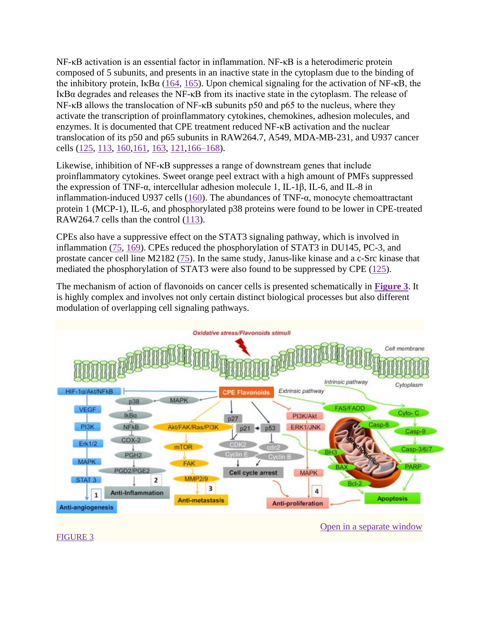NF-κB activation is an essential factor in inflammation. NF-κB is a heterodimeric protein composed of 5 subunits, and presents in an inactive state in the cytoplasm due to the binding of the inhibitory protein, I $\kappa$ B $\alpha$  [\(164,](https://www.ncbi.nlm.nih.gov/pmc/articles/PMC7199889/#bib156) [165\)](https://www.ncbi.nlm.nih.gov/pmc/articles/PMC7199889/#bib157). Upon chemical signaling for the activation of NF- $\kappa$ B, the IκBα degrades and releases the NF-κB from its inactive state in the cytoplasm. The release of NF-κB allows the translocation of NF-κB subunits p50 and p65 to the nucleus, where they activate the transcription of proinflammatory cytokines, chemokines, adhesion molecules, and enzymes. It is documented that CPE treatment reduced NF-κB activation and the nuclear translocation of its p50 and p65 subunits in RAW264.7, A549, MDA-MB-231, and U937 cancer cells [\(125,](https://www.ncbi.nlm.nih.gov/pmc/articles/PMC7199889/#bib110) [113,](https://www.ncbi.nlm.nih.gov/pmc/articles/PMC7199889/#bib153) [160,161,](https://www.ncbi.nlm.nih.gov/pmc/articles/PMC7199889/#bib151) [163,](https://www.ncbi.nlm.nih.gov/pmc/articles/PMC7199889/#bib155) [121](https://www.ncbi.nlm.nih.gov/pmc/articles/PMC7199889/#bib161)[,166–168\)](https://www.ncbi.nlm.nih.gov/pmc/articles/PMC7199889/#bib158).

Likewise, inhibition of NF-κB suppresses a range of downstream genes that include proinflammatory cytokines. Sweet orange peel extract with a high amount of PMFs suppressed the expression of TNF-α, intercellular adhesion molecule 1, IL-1β, IL-6, and IL-8 in inflammation-induced U937 cells [\(160\)](https://www.ncbi.nlm.nih.gov/pmc/articles/PMC7199889/#bib151). The abundances of TNF-α, monocyte chemoattractant protein 1 (MCP-1), IL-6, and phosphorylated p38 proteins were found to be lower in CPE-treated RAW264.7 cells than the control [\(113\)](https://www.ncbi.nlm.nih.gov/pmc/articles/PMC7199889/#bib153).

CPEs also have a suppressive effect on the STAT3 signaling pathway, which is involved in inflammation [\(75,](https://www.ncbi.nlm.nih.gov/pmc/articles/PMC7199889/#bib75) [169\)](https://www.ncbi.nlm.nih.gov/pmc/articles/PMC7199889/#bib162). CPEs reduced the phosphorylation of STAT3 in DU145, PC-3, and prostate cancer cell line M2182 [\(75\)](https://www.ncbi.nlm.nih.gov/pmc/articles/PMC7199889/#bib75). In the same study, Janus-like kinase and a c-Src kinase that mediated the phosphorylation of STAT3 were also found to be suppressed by CPE [\(125\)](https://www.ncbi.nlm.nih.gov/pmc/articles/PMC7199889/#bib110).

The mechanism of action of flavonoids on cancer cells is presented schematically in **[Figure 3](https://www.ncbi.nlm.nih.gov/pmc/articles/PMC7199889/figure/fig3/)**. It is highly complex and involves not only certain distinct biological processes but also different modulation of overlapping cell signaling pathways.



[Open in a separate window](https://www.ncbi.nlm.nih.gov/pmc/articles/PMC7199889/figure/fig3/?report=objectonly)

[FIGURE 3](https://www.ncbi.nlm.nih.gov/pmc/articles/PMC7199889/figure/fig3/)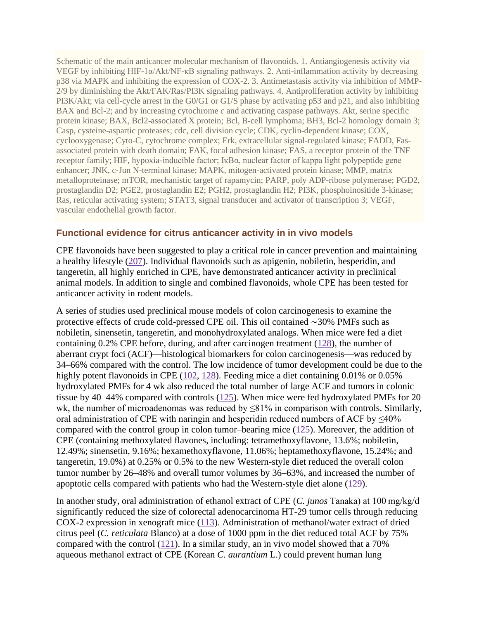Schematic of the main anticancer molecular mechanism of flavonoids. 1. Antiangiogenesis activity via VEGF by inhibiting HIF-1α/Akt/NF-κB signaling pathways. 2. Anti-inflammation activity by decreasing p38 via MAPK and inhibiting the expression of COX-2. 3. Antimetastasis activity via inhibition of MMP-2/9 by diminishing the Akt/FAK/Ras/PI3K signaling pathways. 4. Antiproliferation activity by inhibiting PI3K/Akt; via cell-cycle arrest in the G0/G1 or G1/S phase by activating p53 and p21, and also inhibiting BAX and Bcl-2; and by increasing cytochrome *c* and activating caspase pathways. Akt, serine specific protein kinase; BAX, Bcl2-associated X protein; Bcl, B-cell lymphoma; BH3, Bcl-2 homology domain 3; Casp, cysteine-aspartic proteases; cdc, cell division cycle; CDK, cyclin-dependent kinase; COX, cyclooxygenase; Cyto-C, cytochrome complex; Erk, extracellular signal-regulated kinase; FADD, Fasassociated protein with death domain; FAK, focal adhesion kinase; FAS, a receptor protein of the TNF receptor family; HIF, hypoxia-inducible factor; IκBα, nuclear factor of kappa light polypeptide gene enhancer; JNK, c-Jun N-terminal kinase; MAPK, mitogen-activated protein kinase; MMP, matrix metalloproteinase; mTOR, mechanistic target of rapamycin; PARP, poly ADP-ribose polymerase; PGD2, prostaglandin D2; PGE2, prostaglandin E2; PGH2, prostaglandin H2; PI3K, phosphoinositide 3-kinase; Ras, reticular activating system; STAT3, signal transducer and activator of transcription 3; VEGF, vascular endothelial growth factor.

## **Functional evidence for citrus anticancer activity in in vivo models**

CPE flavonoids have been suggested to play a critical role in cancer prevention and maintaining a healthy lifestyle [\(207\)](https://www.ncbi.nlm.nih.gov/pmc/articles/PMC7199889/#bib163). Individual flavonoids such as apigenin, nobiletin, hesperidin, and tangeretin, all highly enriched in CPE, have demonstrated anticancer activity in preclinical animal models. In addition to single and combined flavonoids, whole CPE has been tested for anticancer activity in rodent models.

A series of studies used preclinical mouse models of colon carcinogenesis to examine the protective effects of crude cold-pressed CPE oil. This oil contained ∼30% PMFs such as nobiletin, sinensetin, tangeretin, and monohydroxylated analogs. When mice were fed a diet containing  $0.2\%$  CPE before, during, and after carcinogen treatment  $(128)$ , the number of aberrant crypt foci (ACF)—histological biomarkers for colon carcinogenesis—was reduced by 34–66% compared with the control. The low incidence of tumor development could be due to the highly potent flavonoids in CPE [\(102,](https://www.ncbi.nlm.nih.gov/pmc/articles/PMC7199889/#bib102) [128\)](https://www.ncbi.nlm.nih.gov/pmc/articles/PMC7199889/#bib164). Feeding mice a diet containing 0.01% or 0.05% hydroxylated PMFs for 4 wk also reduced the total number of large ACF and tumors in colonic tissue by 40–44% compared with controls [\(125\)](https://www.ncbi.nlm.nih.gov/pmc/articles/PMC7199889/#bib110). When mice were fed hydroxylated PMFs for 20 wk, the number of microadenomas was reduced by ≤81% in comparison with controls. Similarly, oral administration of CPE with naringin and hesperidin reduced numbers of ACF by ≤40% compared with the control group in colon tumor–bearing mice [\(125\)](https://www.ncbi.nlm.nih.gov/pmc/articles/PMC7199889/#bib110). Moreover, the addition of CPE (containing methoxylated flavones, including: tetramethoxyflavone, 13.6%; nobiletin, 12.49%; sinensetin, 9.16%; hexamethoxyflavone, 11.06%; heptamethoxyflavone, 15.24%; and tangeretin, 19.0%) at 0.25% or 0.5% to the new Western-style diet reduced the overall colon tumor number by 26–48% and overall tumor volumes by 36–63%, and increased the number of apoptotic cells compared with patients who had the Western-style diet alone [\(129\)](https://www.ncbi.nlm.nih.gov/pmc/articles/PMC7199889/#bib165).

In another study, oral administration of ethanol extract of CPE (*C. junos* Tanaka) at 100 mg/kg/d significantly reduced the size of colorectal adenocarcinoma HT-29 tumor cells through reducing COX-2 expression in xenograft mice [\(113\)](https://www.ncbi.nlm.nih.gov/pmc/articles/PMC7199889/#bib153). Administration of methanol/water extract of dried citrus peel (*C. reticulata* Blanco) at a dose of 1000 ppm in the diet reduced total ACF by 75% compared with the control [\(121\)](https://www.ncbi.nlm.nih.gov/pmc/articles/PMC7199889/#bib161). In a similar study, an in vivo model showed that a 70% aqueous methanol extract of CPE (Korean *C. aurantium* L.) could prevent human lung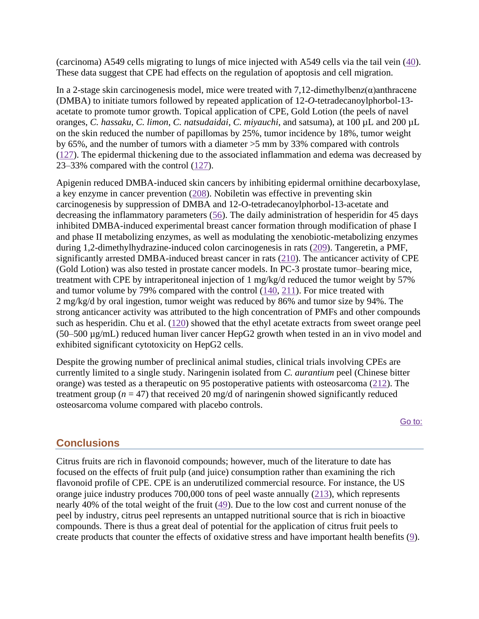(carcinoma) A549 cells migrating to lungs of mice injected with A549 cells via the tail vein [\(40\)](https://www.ncbi.nlm.nih.gov/pmc/articles/PMC7199889/#bib40). These data suggest that CPE had effects on the regulation of apoptosis and cell migration.

In a 2-stage skin carcinogenesis model, mice were treated with  $7,12$ -dimethylbenz $(\alpha)$ anthracene (DMBA) to initiate tumors followed by repeated application of 12-*O*-tetradecanoylphorbol-13 acetate to promote tumor growth. Topical application of CPE, Gold Lotion (the peels of navel oranges, *C. hassaku*, *C. limon*, *C. natsudaidai*, *C. miyauchi*, and satsuma), at 100 µL and 200 µL on the skin reduced the number of papillomas by 25%, tumor incidence by 18%, tumor weight by 65%, and the number of tumors with a diameter >5 mm by 33% compared with controls [\(127\)](https://www.ncbi.nlm.nih.gov/pmc/articles/PMC7199889/#bib112). The epidermal thickening due to the associated inflammation and edema was decreased by 23–33% compared with the control [\(127\)](https://www.ncbi.nlm.nih.gov/pmc/articles/PMC7199889/#bib112).

Apigenin reduced DMBA-induced skin cancers by inhibiting epidermal ornithine decarboxylase, a key enzyme in cancer prevention [\(208\)](https://www.ncbi.nlm.nih.gov/pmc/articles/PMC7199889/#bib166). Nobiletin was effective in preventing skin carcinogenesis by suppression of DMBA and 12-O-tetradecanoylphorbol-13-acetate and decreasing the inflammatory parameters [\(56\)](https://www.ncbi.nlm.nih.gov/pmc/articles/PMC7199889/#bib56). The daily administration of hesperidin for 45 days inhibited DMBA-induced experimental breast cancer formation through modification of phase I and phase II metabolizing enzymes, as well as modulating the xenobiotic-metabolizing enzymes during 1,2-dimethylhydrazine-induced colon carcinogenesis in rats [\(209\)](https://www.ncbi.nlm.nih.gov/pmc/articles/PMC7199889/#bib167). Tangeretin, a PMF, significantly arrested DMBA-induced breast cancer in rats [\(210\)](https://www.ncbi.nlm.nih.gov/pmc/articles/PMC7199889/#bib168). The anticancer activity of CPE (Gold Lotion) was also tested in prostate cancer models. In PC-3 prostate tumor–bearing mice, treatment with CPE by intraperitoneal injection of 1 mg/kg/d reduced the tumor weight by 57% and tumor volume by 79% compared with the control [\(140,](https://www.ncbi.nlm.nih.gov/pmc/articles/PMC7199889/#bib127) [211\)](https://www.ncbi.nlm.nih.gov/pmc/articles/PMC7199889/#bib169). For mice treated with 2 mg/kg/d by oral ingestion, tumor weight was reduced by 86% and tumor size by 94%. The strong anticancer activity was attributed to the high concentration of PMFs and other compounds such as hesperidin. Chu et al. [\(120\)](https://www.ncbi.nlm.nih.gov/pmc/articles/PMC7199889/#bib116) showed that the ethyl acetate extracts from sweet orange peel (50–500 µg/mL) reduced human liver cancer HepG2 growth when tested in an in vivo model and exhibited significant cytotoxicity on HepG2 cells.

Despite the growing number of preclinical animal studies, clinical trials involving CPEs are currently limited to a single study. Naringenin isolated from *C. aurantium* peel (Chinese bitter orange) was tested as a therapeutic on 95 postoperative patients with osteosarcoma [\(212\)](https://www.ncbi.nlm.nih.gov/pmc/articles/PMC7199889/#bib170). The treatment group ( $n = 47$ ) that received 20 mg/d of naringenin showed significantly reduced osteosarcoma volume compared with placebo controls.

[Go to:](https://www.ncbi.nlm.nih.gov/pmc/articles/PMC7199889/)

# **Conclusions**

Citrus fruits are rich in flavonoid compounds; however, much of the literature to date has focused on the effects of fruit pulp (and juice) consumption rather than examining the rich flavonoid profile of CPE. CPE is an underutilized commercial resource. For instance, the US orange juice industry produces 700,000 tons of peel waste annually [\(213\)](https://www.ncbi.nlm.nih.gov/pmc/articles/PMC7199889/#bib171), which represents nearly 40% of the total weight of the fruit [\(49\)](https://www.ncbi.nlm.nih.gov/pmc/articles/PMC7199889/#bib49). Due to the low cost and current nonuse of the peel by industry, citrus peel represents an untapped nutritional source that is rich in bioactive compounds. There is thus a great deal of potential for the application of citrus fruit peels to create products that counter the effects of oxidative stress and have important health benefits [\(9\)](https://www.ncbi.nlm.nih.gov/pmc/articles/PMC7199889/#bib9).